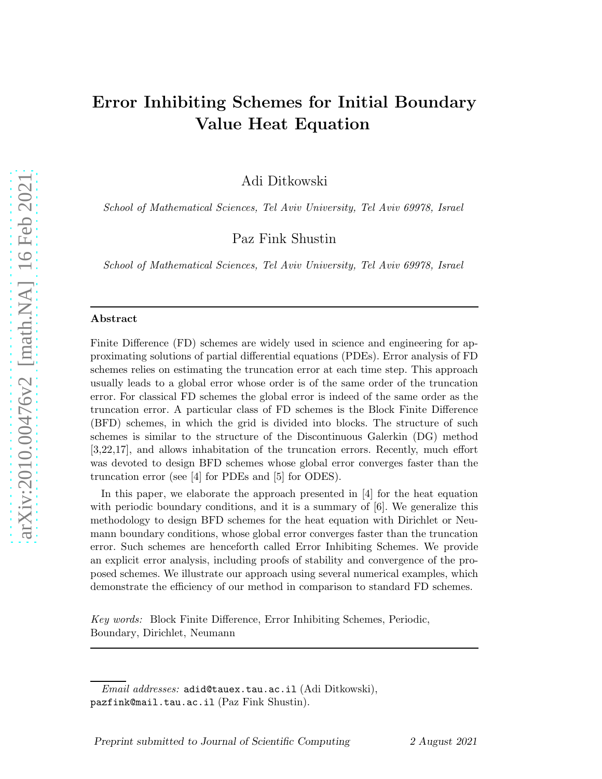# Error Inhibiting Schemes for Initial Boundary Value Heat Equation

Adi Ditkowski

School of Mathematical Sciences, Tel Aviv University, Tel Aviv 69978, Israel

Paz Fink Shustin

School of Mathematical Sciences, Tel Aviv University, Tel Aviv 69978, Israel

#### Abstract

Finite Difference (FD) schemes are widely used in science and engineering for approximating solutions of partial differential equations (PDEs). Error analysis of FD schemes relies on estimating the truncation error at each time step. This approach usually leads to a global error whose order is of the same order of the truncation error. For classical FD schemes the global error is indeed of the same order as the truncation error. A particular class of FD schemes is the Block Finite Difference (BFD) schemes, in which the grid is divided into blocks. The structure of such schemes is similar to the structure of the Discontinuous Galerkin (DG) method [3,22,17], and allows inhabitation of the truncation errors. Recently, much effort was devoted to design BFD schemes whose global error converges faster than the truncation error (see [4] for PDEs and [5] for ODES).

In this paper, we elaborate the approach presented in [4] for the heat equation with periodic boundary conditions, and it is a summary of [6]. We generalize this methodology to design BFD schemes for the heat equation with Dirichlet or Neumann boundary conditions, whose global error converges faster than the truncation error. Such schemes are henceforth called Error Inhibiting Schemes. We provide an explicit error analysis, including proofs of stability and convergence of the proposed schemes. We illustrate our approach using several numerical examples, which demonstrate the efficiency of our method in comparison to standard FD schemes.

Key words: Block Finite Difference, Error Inhibiting Schemes, Periodic, Boundary, Dirichlet, Neumann

Email addresses: adid@tauex.tau.ac.il (Adi Ditkowski), pazfink@mail.tau.ac.il (Paz Fink Shustin).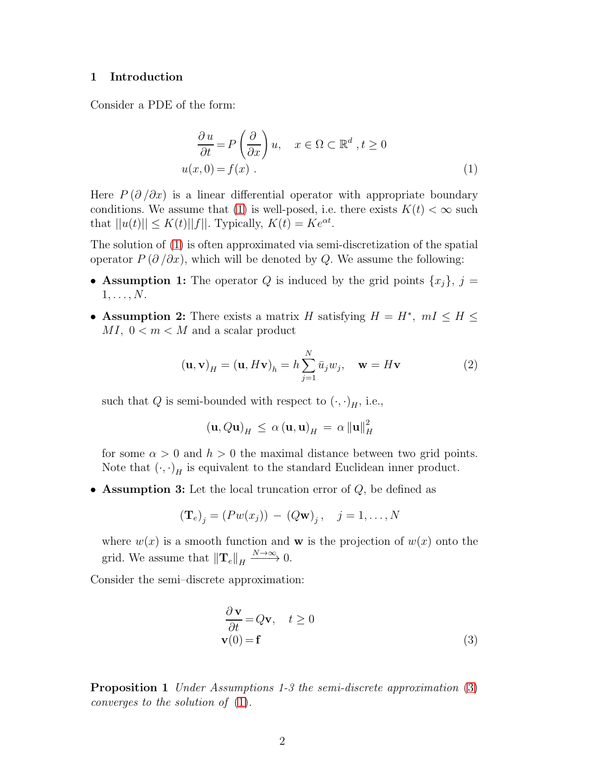#### 1 Introduction

<span id="page-1-0"></span>Consider a PDE of the form:

$$
\frac{\partial u}{\partial t} = P\left(\frac{\partial}{\partial x}\right)u, \quad x \in \Omega \subset \mathbb{R}^d, t \ge 0
$$
  
 
$$
u(x, 0) = f(x) .
$$
 (1)

Here  $P(\partial/\partial x)$  is a linear differential operator with appropriate boundary conditions. We assume that [\(1\)](#page-1-0) is well-posed, i.e. there exists  $K(t) < \infty$  such that  $||u(t)|| \le K(t) ||f||$ . Typically,  $K(t) = Ke^{\alpha t}$ .

The solution of [\(1\)](#page-1-0) is often approximated via semi-discretization of the spatial operator  $P(\partial/\partial x)$ , which will be denoted by Q. We assume the following:

- Assumption 1: The operator Q is induced by the grid points  $\{x_i\}, i =$  $1, \ldots, N$ .
- Assumption 2: There exists a matrix H satisfying  $H = H^*$ ,  $mI \leq H \leq$  $MI, 0 < m < M$  and a scalar product

<span id="page-1-2"></span>
$$
(\mathbf{u}, \mathbf{v})_H = (\mathbf{u}, H\mathbf{v})_h = h \sum_{j=1}^N \bar{u}_j w_j, \quad \mathbf{w} = H\mathbf{v}
$$
 (2)

such that Q is semi-bounded with respect to  $(\cdot, \cdot)_H$ , i.e.,

$$
(\mathbf{u}, Q\mathbf{u})_H \leq \alpha (\mathbf{u}, \mathbf{u})_H = \alpha ||\mathbf{u}||_H^2
$$

for some  $\alpha > 0$  and  $h > 0$  the maximal distance between two grid points. Note that  $(\cdot, \cdot)$ <sub>H</sub> is equivalent to the standard Euclidean inner product.

• Assumption 3: Let the local truncation error of  $Q$ , be defined as

$$
(\mathbf{T}_e)_j = (P w(x_j)) - (Q \mathbf{w})_j, \quad j = 1, \dots, N
$$

where  $w(x)$  is a smooth function and **w** is the projection of  $w(x)$  onto the grid. We assume that  $\|\mathbf{T}_e\|_H \xrightarrow{N \to \infty} 0$ .

<span id="page-1-1"></span>Consider the semi–discrete approximation:

$$
\frac{\partial \mathbf{v}}{\partial t} = Q\mathbf{v}, \quad t \ge 0
$$
  

$$
\mathbf{v}(0) = \mathbf{f}
$$
 (3)

Proposition 1 Under Assumptions 1-3 the semi-discrete approximation [\(3\)](#page-1-1) converges to the solution of [\(1\)](#page-1-0).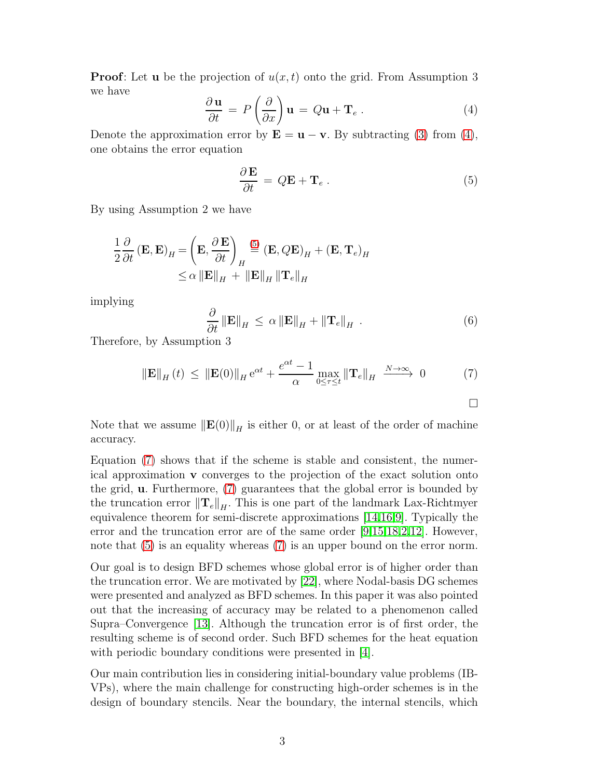**Proof:** Let **u** be the projection of  $u(x, t)$  onto the grid. From Assumption 3 we have

<span id="page-2-0"></span>
$$
\frac{\partial \mathbf{u}}{\partial t} = P\left(\frac{\partial}{\partial x}\right) \mathbf{u} = Q\mathbf{u} + \mathbf{T}_e \,. \tag{4}
$$

Denote the approximation error by  $\mathbf{E} = \mathbf{u} - \mathbf{v}$ . By subtracting [\(3\)](#page-1-1) from [\(4\)](#page-2-0), one obtains the error equation

<span id="page-2-1"></span>
$$
\frac{\partial \mathbf{E}}{\partial t} = Q\mathbf{E} + \mathbf{T}_e \,. \tag{5}
$$

By using Assumption 2 we have

$$
\frac{1}{2} \frac{\partial}{\partial t} (\mathbf{E}, \mathbf{E})_H = \left(\mathbf{E}, \frac{\partial \mathbf{E}}{\partial t}\right)_H \stackrel{(5)}{=} (\mathbf{E}, Q\mathbf{E})_H + (\mathbf{E}, \mathbf{T}_e)_H
$$
  
 
$$
\leq \alpha \|\mathbf{E}\|_H + \|\mathbf{E}\|_H \|\mathbf{T}_e\|_H
$$

implying

$$
\frac{\partial}{\partial t} \left\| \mathbf{E} \right\|_{H} \leq \alpha \left\| \mathbf{E} \right\|_{H} + \left\| \mathbf{T}_{e} \right\|_{H} . \tag{6}
$$

Therefore, by Assumption 3

<span id="page-2-2"></span>
$$
\|\mathbf{E}\|_{H}(t) \leq \|\mathbf{E}(0)\|_{H} e^{\alpha t} + \frac{e^{\alpha t} - 1}{\alpha} \max_{0 \leq \tau \leq t} \|\mathbf{T}_{e}\|_{H} \xrightarrow{N \to \infty} 0 \tag{7}
$$

Note that we assume  $\|\mathbf{E}(0)\|_{H}$  is either 0, or at least of the order of machine accuracy.

Equation [\(7\)](#page-2-2) shows that if the scheme is stable and consistent, the numerical approximation v converges to the projection of the exact solution onto the grid, u. Furthermore, [\(7\)](#page-2-2) guarantees that the global error is bounded by the truncation error  $\|\mathbf{T}_e\|_H$ . This is one part of the landmark Lax-Richtmyer equivalence theorem for semi-discrete approximations [\[14](#page-32-0)[,16](#page-32-1)[,9\]](#page-32-2). Typically the error and the truncation error are of the same order [\[9](#page-32-2)[,15](#page-32-3)[,18](#page-32-4)[,2](#page-31-0)[,12\]](#page-32-5). However, note that [\(5\)](#page-2-1) is an equality whereas [\(7\)](#page-2-2) is an upper bound on the error norm.

Our goal is to design BFD schemes whose global error is of higher order than the truncation error. We are motivated by [\[22\]](#page-33-0), where Nodal-basis DG schemes were presented and analyzed as BFD schemes. In this paper it was also pointed out that the increasing of accuracy may be related to a phenomenon called Supra–Convergence [\[13\]](#page-32-6). Although the truncation error is of first order, the resulting scheme is of second order. Such BFD schemes for the heat equation with periodic boundary conditions were presented in [\[4\]](#page-31-1).

Our main contribution lies in considering initial-boundary value problems (IB-VPs), where the main challenge for constructing high-order schemes is in the design of boundary stencils. Near the boundary, the internal stencils, which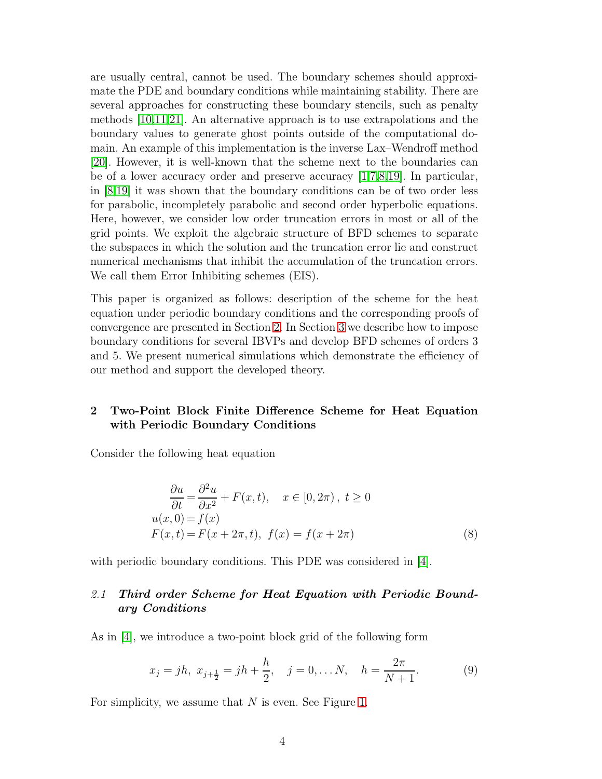are usually central, cannot be used. The boundary schemes should approximate the PDE and boundary conditions while maintaining stability. There are several approaches for constructing these boundary stencils, such as penalty methods [\[10,](#page-32-7)[11](#page-32-8)[,21\]](#page-32-9). An alternative approach is to use extrapolations and the boundary values to generate ghost points outside of the computational domain. An example of this implementation is the inverse Lax–Wendroff method [\[20\]](#page-32-10). However, it is well-known that the scheme next to the boundaries can be of a lower accuracy order and preserve accuracy [\[1,](#page-31-2)[7](#page-32-11)[,8,](#page-32-12)[19\]](#page-32-13). In particular, in [\[8](#page-32-12)[,19\]](#page-32-13) it was shown that the boundary conditions can be of two order less for parabolic, incompletely parabolic and second order hyperbolic equations. Here, however, we consider low order truncation errors in most or all of the grid points. We exploit the algebraic structure of BFD schemes to separate the subspaces in which the solution and the truncation error lie and construct numerical mechanisms that inhibit the accumulation of the truncation errors. We call them Error Inhibiting schemes (EIS).

This paper is organized as follows: description of the scheme for the heat equation under periodic boundary conditions and the corresponding proofs of convergence are presented in Section [2.](#page-3-0) In Section [3](#page-15-0) we describe how to impose boundary conditions for several IBVPs and develop BFD schemes of orders 3 and 5. We present numerical simulations which demonstrate the efficiency of our method and support the developed theory.

# <span id="page-3-0"></span>2 Two-Point Block Finite Difference Scheme for Heat Equation with Periodic Boundary Conditions

Consider the following heat equation

<span id="page-3-2"></span>
$$
\frac{\partial u}{\partial t} = \frac{\partial^2 u}{\partial x^2} + F(x, t), \quad x \in [0, 2\pi), \ t \ge 0
$$
  
 
$$
u(x, 0) = f(x)
$$
  
 
$$
F(x, t) = F(x + 2\pi, t), \ f(x) = f(x + 2\pi)
$$
 (8)

with periodic boundary conditions. This PDE was considered in [\[4\]](#page-31-1).

# 2.1 Third order Scheme for Heat Equation with Periodic Boundary Conditions

As in [\[4\]](#page-31-1), we introduce a two-point block grid of the following form

<span id="page-3-1"></span>
$$
x_j = jh, \ x_{j+\frac{1}{2}} = jh + \frac{h}{2}, \quad j = 0, \dots N, \quad h = \frac{2\pi}{N+1}.
$$
 (9)

For simplicity, we assume that  $N$  is even. See Figure [1.](#page-4-0)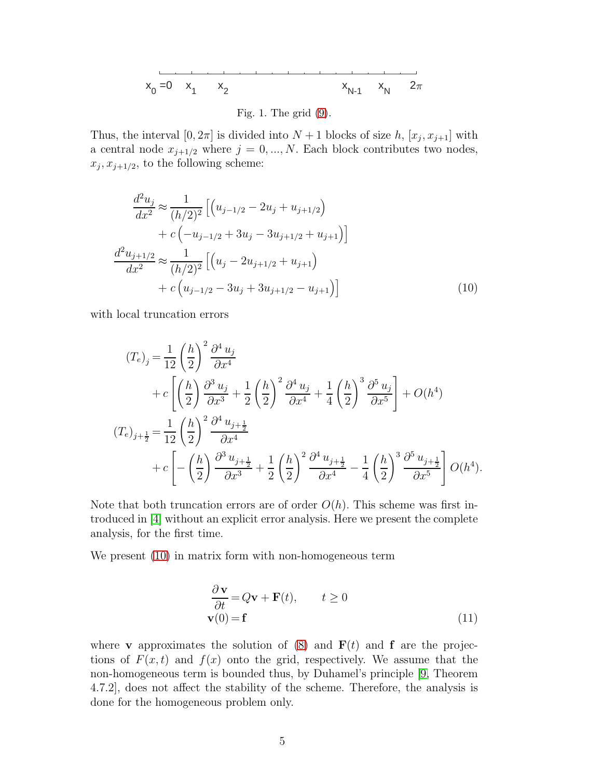<span id="page-4-0"></span>
$$
x_0 = 0
$$
  $x_1$   $x_2$   $x_{N-1}$   $x_N$   $2\pi$ 

Fig. 1. The grid [\(9\)](#page-3-1).

Thus, the interval  $[0, 2\pi]$  is divided into  $N + 1$  blocks of size h,  $[x_j, x_{j+1}]$  with a central node  $x_{j+1/2}$  where  $j = 0, ..., N$ . Each block contributes two nodes,  $x_j, x_{j+1/2}$ , to the following scheme:

<span id="page-4-1"></span>
$$
\frac{d^2u_j}{dx^2} \approx \frac{1}{(h/2)^2} \left[ \left( u_{j-1/2} - 2u_j + u_{j+1/2} \right) + c \left( -u_{j-1/2} + 3u_j - 3u_{j+1/2} + u_{j+1} \right) \right]
$$
  

$$
\frac{d^2u_{j+1/2}}{dx^2} \approx \frac{1}{(h/2)^2} \left[ \left( u_j - 2u_{j+1/2} + u_{j+1} \right) + c \left( u_{j-1/2} - 3u_j + 3u_{j+1/2} - u_{j+1} \right) \right]
$$
(10)

with local truncation errors

$$
(T_e)_j = \frac{1}{12} \left(\frac{h}{2}\right)^2 \frac{\partial^4 u_j}{\partial x^4} + c \left[ \left(\frac{h}{2}\right) \frac{\partial^3 u_j}{\partial x^3} + \frac{1}{2} \left(\frac{h}{2}\right)^2 \frac{\partial^4 u_j}{\partial x^4} + \frac{1}{4} \left(\frac{h}{2}\right)^3 \frac{\partial^5 u_j}{\partial x^5} \right] + O(h^4) (T_e)_{j+\frac{1}{2}} = \frac{1}{12} \left(\frac{h}{2}\right)^2 \frac{\partial^4 u_{j+\frac{1}{2}}}{\partial x^4} + c \left[ -\left(\frac{h}{2}\right) \frac{\partial^3 u_{j+\frac{1}{2}}}{\partial x^3} + \frac{1}{2} \left(\frac{h}{2}\right)^2 \frac{\partial^4 u_{j+\frac{1}{2}}}{\partial x^4} - \frac{1}{4} \left(\frac{h}{2}\right)^3 \frac{\partial^5 u_{j+\frac{1}{2}}}{\partial x^5} \right] O(h^4).
$$

Note that both truncation errors are of order  $O(h)$ . This scheme was first introduced in [\[4\]](#page-31-1) without an explicit error analysis. Here we present the complete analysis, for the first time.

<span id="page-4-2"></span>We present [\(10\)](#page-4-1) in matrix form with non-homogeneous term

$$
\frac{\partial \mathbf{v}}{\partial t} = Q\mathbf{v} + \mathbf{F}(t), \qquad t \ge 0
$$
  

$$
\mathbf{v}(0) = \mathbf{f}
$$
 (11)

where **v** approximates the solution of [\(8\)](#page-3-2) and  $F(t)$  and f are the projections of  $F(x, t)$  and  $f(x)$  onto the grid, respectively. We assume that the non-homogeneous term is bounded thus, by Duhamel's principle [\[9,](#page-32-2) Theorem 4.7.2], does not affect the stability of the scheme. Therefore, the analysis is done for the homogeneous problem only.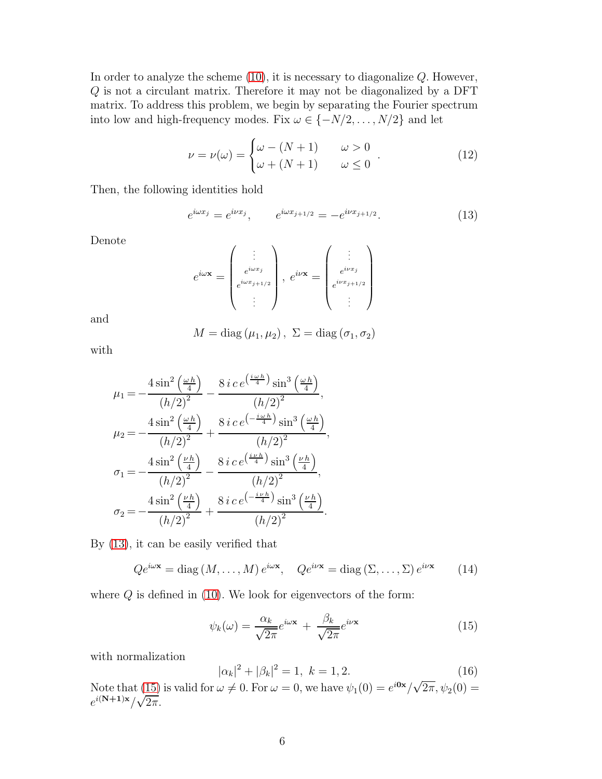In order to analyze the scheme  $(10)$ , it is necessary to diagonalize  $Q$ . However, Q is not a circulant matrix. Therefore it may not be diagonalized by a DFT matrix. To address this problem, we begin by separating the Fourier spectrum into low and high-frequency modes. Fix  $\omega \in \{-N/2, \ldots, N/2\}$  and let

$$
\nu = \nu(\omega) = \begin{cases} \omega - (N+1) & \omega > 0 \\ \omega + (N+1) & \omega \le 0 \end{cases} . \tag{12}
$$

Then, the following identities hold

<span id="page-5-0"></span>
$$
e^{i\omega x_j} = e^{i\nu x_j}, \qquad e^{i\omega x_{j+1/2}} = -e^{i\nu x_{j+1/2}}.
$$
 (13)

Denote

$$
e^{i\omega \mathbf{x}} = \begin{pmatrix} \vdots \\ e^{i\omega x_j} \\ e^{i\omega x_{j+1/2}} \\ \vdots \end{pmatrix}, e^{i\nu \mathbf{x}} = \begin{pmatrix} \vdots \\ e^{i\nu x_j} \\ e^{i\nu x_{j+1/2}} \\ \vdots \end{pmatrix}
$$

and

$$
M = diag(\mu_1, \mu_2), \ \Sigma = diag(\sigma_1, \sigma_2)
$$

with

$$
\mu_1 = -\frac{4 \sin^2\left(\frac{\omega h}{4}\right)}{(h/2)^2} - \frac{8 i c e^{\left(\frac{i \omega h}{4}\right)} \sin^3\left(\frac{\omega h}{4}\right)}{(h/2)^2},
$$
  
\n
$$
\mu_2 = -\frac{4 \sin^2\left(\frac{\omega h}{4}\right)}{(h/2)^2} + \frac{8 i c e^{\left(-\frac{i \omega h}{4}\right)} \sin^3\left(\frac{\omega h}{4}\right)}{(h/2)^2},
$$
  
\n
$$
\sigma_1 = -\frac{4 \sin^2\left(\frac{\nu h}{4}\right)}{(h/2)^2} - \frac{8 i c e^{\left(\frac{i \nu h}{4}\right)} \sin^3\left(\frac{\nu h}{4}\right)}{(h/2)^2},
$$
  
\n
$$
\sigma_2 = -\frac{4 \sin^2\left(\frac{\nu h}{4}\right)}{(h/2)^2} + \frac{8 i c e^{\left(-\frac{i \nu h}{4}\right)} \sin^3\left(\frac{\nu h}{4}\right)}{(h/2)^2}.
$$

By [\(13\)](#page-5-0), it can be easily verified that

<span id="page-5-2"></span>
$$
Qe^{i\omega \mathbf{x}} = \text{diag}(M, \dots, M) e^{i\omega \mathbf{x}}, \quad Qe^{i\nu \mathbf{x}} = \text{diag}(\Sigma, \dots, \Sigma) e^{i\nu \mathbf{x}} \tag{14}
$$

where  $Q$  is defined in [\(10\)](#page-4-1). We look for eigenvectors of the form:

<span id="page-5-1"></span>
$$
\psi_k(\omega) = \frac{\alpha_k}{\sqrt{2\pi}} e^{i\omega \mathbf{x}} + \frac{\beta_k}{\sqrt{2\pi}} e^{i\nu \mathbf{x}}
$$
\n(15)

with normalization

<span id="page-5-3"></span>
$$
|\alpha_k|^2 + |\beta_k|^2 = 1, \ k = 1, 2. \tag{16}
$$

Note that [\(15\)](#page-5-1) is valid for  $\omega \neq 0$ . For  $\omega = 0$ , we have  $\psi_1(0) = e^{i0x}/\sqrt{2\pi}, \psi_2(0) =$  $e^{i(N+1)x}/\sqrt{2\pi}$ .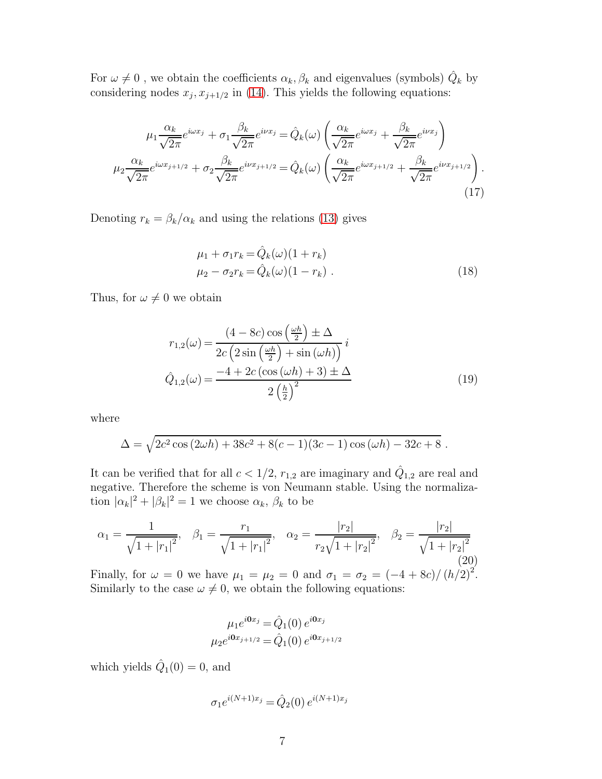For  $\omega \neq 0$ , we obtain the coefficients  $\alpha_k, \beta_k$  and eigenvalues (symbols)  $\hat{Q}_k$  by considering nodes  $x_j, x_{j+1/2}$  in [\(14\)](#page-5-2). This yields the following equations:

<span id="page-6-0"></span>
$$
\mu_1 \frac{\alpha_k}{\sqrt{2\pi}} e^{i\omega x_j} + \sigma_1 \frac{\beta_k}{\sqrt{2\pi}} e^{i\nu x_j} = \hat{Q}_k(\omega) \left( \frac{\alpha_k}{\sqrt{2\pi}} e^{i\omega x_j} + \frac{\beta_k}{\sqrt{2\pi}} e^{i\nu x_j} \right)
$$

$$
\mu_2 \frac{\alpha_k}{\sqrt{2\pi}} e^{i\omega x_{j+1/2}} + \sigma_2 \frac{\beta_k}{\sqrt{2\pi}} e^{i\nu x_{j+1/2}} = \hat{Q}_k(\omega) \left( \frac{\alpha_k}{\sqrt{2\pi}} e^{i\omega x_{j+1/2}} + \frac{\beta_k}{\sqrt{2\pi}} e^{i\nu x_{j+1/2}} \right).
$$
(17)

<span id="page-6-2"></span>Denoting  $r_k = \beta_k/\alpha_k$  and using the relations [\(13\)](#page-5-0) gives

$$
\mu_1 + \sigma_1 r_k = \hat{Q}_k(\omega)(1 + r_k) \n\mu_2 - \sigma_2 r_k = \hat{Q}_k(\omega)(1 - r_k).
$$
\n(18)

<span id="page-6-3"></span>Thus, for  $\omega \neq 0$  we obtain

$$
r_{1,2}(\omega) = \frac{(4 - 8c)\cos\left(\frac{\omega h}{2}\right) \pm \Delta}{2c\left(2\sin\left(\frac{\omega h}{2}\right) + \sin\left(\omega h\right)\right)}i
$$

$$
\hat{Q}_{1,2}(\omega) = \frac{-4 + 2c\left(\cos\left(\omega h\right) + 3\right) \pm \Delta}{2\left(\frac{h}{2}\right)^2} \tag{19}
$$

where

$$
\Delta = \sqrt{2c^2 \cos(2\omega h) + 38c^2 + 8(c-1)(3c-1)\cos(\omega h) - 32c + 8}.
$$

It can be verified that for all  $c < 1/2$ ,  $r_{1,2}$  are imaginary and  $\hat{Q}_{1,2}$  are real and negative. Therefore the scheme is von Neumann stable. Using the normalization  $|\alpha_k|^2 + |\beta_k|^2 = 1$  we choose  $\alpha_k$ ,  $\beta_k$  to be

<span id="page-6-1"></span>
$$
\alpha_1 = \frac{1}{\sqrt{1+|r_1|^2}}, \quad \beta_1 = \frac{r_1}{\sqrt{1+|r_1|^2}}, \quad \alpha_2 = \frac{|r_2|}{r_2\sqrt{1+|r_2|^2}}, \quad \beta_2 = \frac{|r_2|}{\sqrt{1+|r_2|^2}}
$$
(20)

Finally, for  $\omega = 0$  we have  $\mu_1 = \mu_2 = 0$  and  $\sigma_1 = \sigma_2 = \frac{(-4 + 8c)}{(h/2)^2}$ . Similarly to the case  $\omega \neq 0$ , we obtain the following equations:

$$
\mu_1 e^{i0x_j} = \hat{Q}_1(0) e^{i0x_j}
$$

$$
\mu_2 e^{i0x_{j+1/2}} = \hat{Q}_1(0) e^{i0x_{j+1/2}}
$$

which yields  $\hat{Q}_1(0) = 0$ , and

$$
\sigma_1 e^{i(N+1)x_j} = \hat{Q}_2(0) e^{i(N+1)x_j}
$$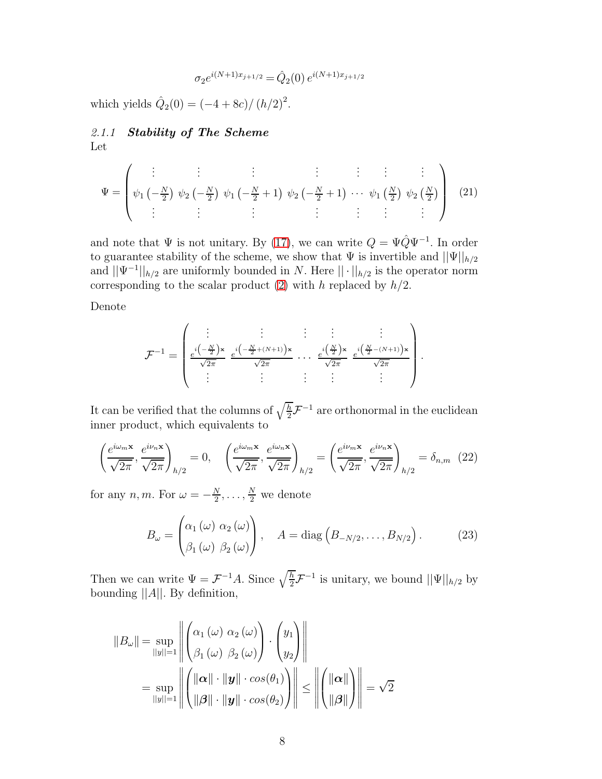$$
\sigma_2 e^{i(N+1)x_{j+1/2}} = \hat{Q}_2(0) e^{i(N+1)x_{j+1/2}}
$$

which yields  $\hat{Q}_2(0) = \frac{-4 + 8c}{(h/2)^2}$ .

# 2.1.1 Stability of The Scheme Let

<span id="page-7-1"></span>
$$
\Psi = \begin{pmatrix} \vdots & \vdots & \vdots & \vdots & \vdots & \vdots \\ \psi_1 \left( -\frac{N}{2} \right) \psi_2 \left( -\frac{N}{2} \right) \psi_1 \left( -\frac{N}{2} + 1 \right) \psi_2 \left( -\frac{N}{2} + 1 \right) \cdots \psi_1 \left( \frac{N}{2} \right) \psi_2 \left( \frac{N}{2} \right) \\ \vdots & \vdots & \vdots & \vdots & \vdots & \vdots \end{pmatrix} \tag{21}
$$

and note that  $\Psi$  is not unitary. By [\(17\)](#page-6-0), we can write  $Q = \Psi \hat{Q} \Psi^{-1}$ . In order to guarantee stability of the scheme, we show that  $\Psi$  is invertible and  $||\Psi||_{h/2}$ and  $||\Psi^{-1}||_{h/2}$  are uniformly bounded in N. Here  $||\cdot||_{h/2}$  is the operator norm corresponding to the scalar product  $(2)$  with h replaced by  $h/2$ .

Denote

$$
\mathcal{F}^{-1} = \begin{pmatrix} \vdots & \vdots & \vdots & \vdots & \vdots \\ \frac{e^{i\left(-\frac{N}{2}\right)x}}{\sqrt{2\pi}} & \frac{e^{i\left(-\frac{N}{2} + (N+1)\right)x}}{\sqrt{2\pi}} & \cdots & \frac{e^{i\left(\frac{N}{2}\right)x}}{\sqrt{2\pi}} & \frac{e^{i\left(\frac{N}{2} - (N+1)\right)x}}{\sqrt{2\pi}} \\ \vdots & \vdots & \vdots & \vdots & \vdots \end{pmatrix}
$$

.

It can be verified that the columns of  $\sqrt{\frac{h}{2}}\mathcal{F}^{-1}$  are orthonormal in the euclidean inner product, which equivalents to

<span id="page-7-2"></span>
$$
\left(\frac{e^{i\omega_m \mathbf{x}}}{\sqrt{2\pi}}, \frac{e^{i\nu_n \mathbf{x}}}{\sqrt{2\pi}}\right)_{h/2} = 0, \quad \left(\frac{e^{i\omega_m \mathbf{x}}}{\sqrt{2\pi}}, \frac{e^{i\omega_n \mathbf{x}}}{\sqrt{2\pi}}\right)_{h/2} = \left(\frac{e^{i\nu_m \mathbf{x}}}{\sqrt{2\pi}}, \frac{e^{i\nu_n \mathbf{x}}}{\sqrt{2\pi}}\right)_{h/2} = \delta_{n,m} \tag{22}
$$

for any  $n, m$ . For  $\omega = -\frac{N}{2}$  $\frac{N}{2}, \ldots, \frac{N}{2}$  we denote

<span id="page-7-0"></span>
$$
B_{\omega} = \begin{pmatrix} \alpha_1(\omega) & \alpha_2(\omega) \\ \beta_1(\omega) & \beta_2(\omega) \end{pmatrix}, \quad A = \text{diag}\left(B_{-N/2}, \dots, B_{N/2}\right). \tag{23}
$$

Then we can write  $\Psi = \mathcal{F}^{-1}A$ . Since  $\sqrt{\frac{h}{2}}\mathcal{F}^{-1}$  is unitary, we bound  $||\Psi||_{h/2}$  by bounding  $||A||$ . By definition,

$$
||B_{\omega}|| = \sup_{||y||=1} \left\| \begin{pmatrix} \alpha_1(\omega) & \alpha_2(\omega) \\ \beta_1(\omega) & \beta_2(\omega) \end{pmatrix} \cdot \begin{pmatrix} y_1 \\ y_2 \end{pmatrix} \right\|
$$
  
= 
$$
\sup_{||y||=1} \left\| \begin{pmatrix} ||\boldsymbol{\alpha}|| \cdot ||\boldsymbol{y}|| \cdot cos(\theta_1) \\ ||\boldsymbol{\beta}|| \cdot ||\boldsymbol{y}|| \cdot cos(\theta_2) \end{pmatrix} \right\| \le \left\| \begin{pmatrix} ||\boldsymbol{\alpha}|| \\ ||\boldsymbol{\beta}|| \end{pmatrix} \right\| = \sqrt{2}
$$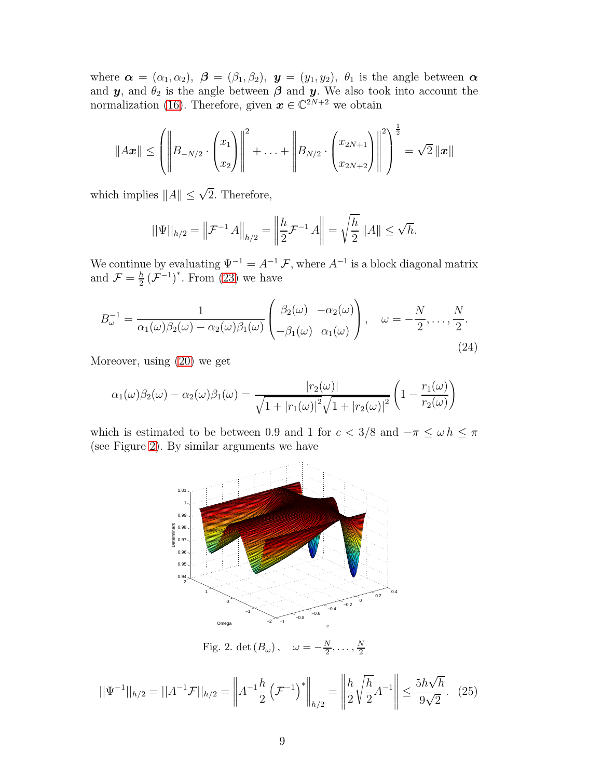where  $\boldsymbol{\alpha} = (\alpha_1, \alpha_2), \ \boldsymbol{\beta} = (\beta_1, \beta_2), \ \boldsymbol{y} = (y_1, y_2), \ \theta_1$  is the angle between  $\boldsymbol{\alpha}$ and  $y$ , and  $\theta_2$  is the angle between  $\beta$  and  $y$ . We also took into account the normalization [\(16\)](#page-5-3). Therefore, given  $\boldsymbol{x} \in \mathbb{C}^{2N+2}$  we obtain

$$
||A\boldsymbol{x}|| \leq \left( \left\| B_{-N/2} \cdot \begin{pmatrix} x_1 \\ x_2 \end{pmatrix} \right\|^2 + \ldots + \left\| B_{N/2} \cdot \begin{pmatrix} x_{2N+1} \\ x_{2N+2} \end{pmatrix} \right\|^2 \right)^{\frac{1}{2}} = \sqrt{2} ||\boldsymbol{x}||
$$

which implies  $||A|| \leq \sqrt{2}$ . Therefore,

$$
||\Psi||_{h/2} = \left\|\mathcal{F}^{-1} A\right\|_{h/2} = \left\|\frac{h}{2}\mathcal{F}^{-1} A\right\| = \sqrt{\frac{h}{2}} \|A\| \le \sqrt{h}.
$$

We continue by evaluating  $\Psi^{-1} = A^{-1} \mathcal{F}$ , where  $A^{-1}$  is a block diagonal matrix and  $\mathcal{F} = \frac{h}{2}$  $\frac{h}{2}$  ( $\mathcal{F}^{-1}$ )<sup>\*</sup>. From [\(23\)](#page-7-0) we have

<span id="page-8-1"></span>
$$
B_{\omega}^{-1} = \frac{1}{\alpha_1(\omega)\beta_2(\omega) - \alpha_2(\omega)\beta_1(\omega)} \begin{pmatrix} \beta_2(\omega) & -\alpha_2(\omega) \\ -\beta_1(\omega) & \alpha_1(\omega) \end{pmatrix}, \quad \omega = -\frac{N}{2}, \dots, \frac{N}{2}.
$$
\n(24)

Moreover, using [\(20\)](#page-6-1) we get

$$
\alpha_1(\omega)\beta_2(\omega) - \alpha_2(\omega)\beta_1(\omega) = \frac{|r_2(\omega)|}{\sqrt{1+|r_1(\omega)|^2}\sqrt{1+|r_2(\omega)|^2}} \left(1 - \frac{r_1(\omega)}{r_2(\omega)}\right)
$$

<span id="page-8-0"></span>which is estimated to be between 0.9 and 1 for  $c < 3/8$  and  $-\pi \leq \omega h \leq \pi$ (see Figure [2\)](#page-8-0). By similar arguments we have



Fig. 2. det  $(B_{\omega})$ , N  $\frac{N}{2}, \ldots, \frac{N}{2}$ 2

$$
||\Psi^{-1}||_{h/2} = ||A^{-1}\mathcal{F}||_{h/2} = \left||A^{-1}\frac{h}{2}\left(\mathcal{F}^{-1}\right)^{*}\right||_{h/2} = \left||\frac{h}{2}\sqrt{\frac{h}{2}}A^{-1}\right|| \le \frac{5h\sqrt{h}}{9\sqrt{2}}.\tag{25}
$$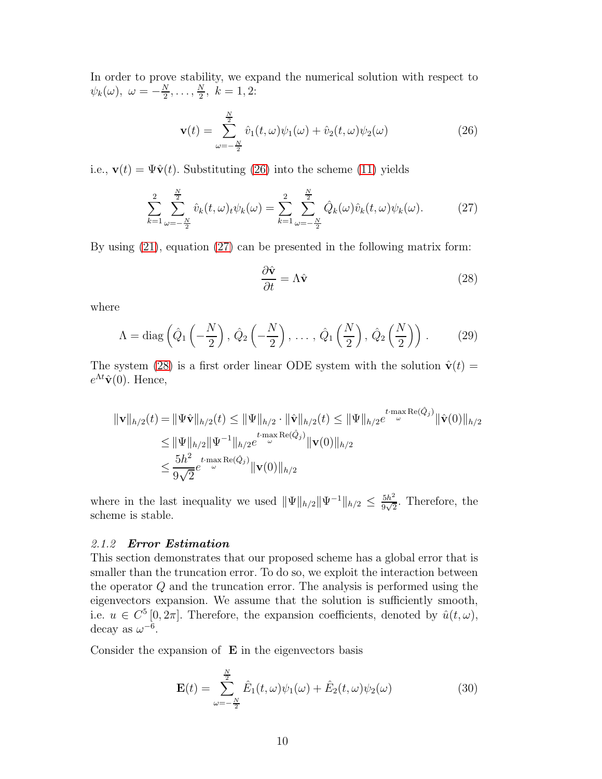In order to prove stability, we expand the numerical solution with respect to  $\psi_k(\omega), \ \omega = -\frac{N}{2}$  $\frac{N}{2}, \ldots, \frac{N}{2}$  $\frac{N}{2}$ ,  $k = 1, 2$ :

<span id="page-9-0"></span>
$$
\mathbf{v}(t) = \sum_{\omega=-\frac{N}{2}}^{\frac{N}{2}} \hat{v}_1(t,\omega)\psi_1(\omega) + \hat{v}_2(t,\omega)\psi_2(\omega)
$$
(26)

i.e.,  $\mathbf{v}(t) = \Psi \hat{\mathbf{v}}(t)$ . Substituting [\(26\)](#page-9-0) into the scheme [\(11\)](#page-4-2) yields

<span id="page-9-1"></span>
$$
\sum_{k=1}^{2} \sum_{\omega=-\frac{N}{2}}^{\frac{N}{2}} \hat{v}_k(t,\omega)_t \psi_k(\omega) = \sum_{k=1}^{2} \sum_{\omega=-\frac{N}{2}}^{\frac{N}{2}} \hat{Q}_k(\omega) \hat{v}_k(t,\omega) \psi_k(\omega).
$$
 (27)

By using [\(21\)](#page-7-1), equation [\(27\)](#page-9-1) can be presented in the following matrix form:

<span id="page-9-2"></span>
$$
\frac{\partial \hat{\mathbf{v}}}{\partial t} = \Lambda \hat{\mathbf{v}} \tag{28}
$$

where

<span id="page-9-3"></span>
$$
\Lambda = \text{diag}\left(\hat{Q}_1\left(-\frac{N}{2}\right), \hat{Q}_2\left(-\frac{N}{2}\right), \dots, \hat{Q}_1\left(\frac{N}{2}\right), \hat{Q}_2\left(\frac{N}{2}\right)\right). \tag{29}
$$

The system [\(28\)](#page-9-2) is a first order linear ODE system with the solution  $\hat{\mathbf{v}}(t) =$  $e^{\Lambda t}\hat{\mathbf{v}}(0)$ . Hence,

$$
\begin{aligned} \|\mathbf{v}\|_{h/2}(t) &= \|\Psi\hat{\mathbf{v}}\|_{h/2}(t) \le \|\Psi\|_{h/2} \cdot \|\hat{\mathbf{v}}\|_{h/2}(t) \le \|\Psi\|_{h/2} e^{t \cdot \max_{\omega} \text{Re}(\hat{Q}_j)} \|\hat{\mathbf{v}}(0)\|_{h/2} \\ &\le \|\Psi\|_{h/2} \|\Psi^{-1}\|_{h/2} e^{t \cdot \max_{\omega} \text{Re}(\hat{Q}_j)} \|\mathbf{v}(0)\|_{h/2} \\ &\le \frac{5h^2}{9\sqrt{2}} e^{t \cdot \max_{\omega} \text{Re}(\hat{Q}_j)} \|\mathbf{v}(0)\|_{h/2} \end{aligned}
$$

<span id="page-9-4"></span>where in the last inequality we used  $\|\Psi\|_{h/2}\|\Psi^{-1}\|_{h/2} \leq \frac{5h^2}{9\sqrt{2}}$  $\frac{5h^2}{9\sqrt{2}}$ . Therefore, the scheme is stable.

## 2.1.2 Error Estimation

This section demonstrates that our proposed scheme has a global error that is smaller than the truncation error. To do so, we exploit the interaction between the operator Q and the truncation error. The analysis is performed using the eigenvectors expansion. We assume that the solution is sufficiently smooth, i.e.  $u \in C^5[0, 2\pi]$ . Therefore, the expansion coefficients, denoted by  $\hat{u}(t, \omega)$ , decay as  $\omega^{-6}$ .

Consider the expansion of  $E$  in the eigenvectors basis

$$
\mathbf{E}(t) = \sum_{\omega=-\frac{N}{2}}^{\frac{N}{2}} \hat{E}_1(t,\omega)\psi_1(\omega) + \hat{E}_2(t,\omega)\psi_2(\omega)
$$
(30)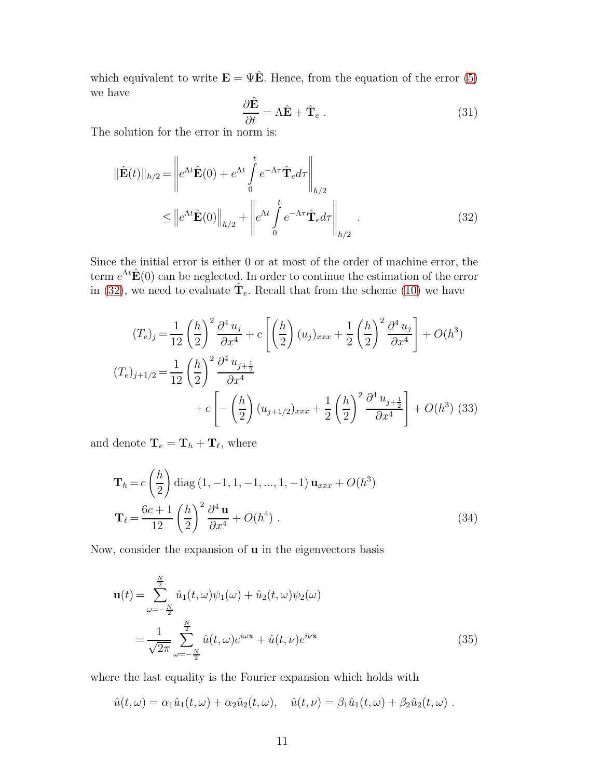which equivalent to write  $\mathbf{E} = \Psi \hat{\mathbf{E}}$ . Hence, from the equation of the error [\(5\)](#page-2-1) we have

$$
\frac{\partial \hat{\mathbf{E}}}{\partial t} = \Lambda \hat{\mathbf{E}} + \hat{\mathbf{T}}_e \ . \tag{31}
$$

The solution for the error in norm is:

<span id="page-10-0"></span>
$$
\|\hat{\mathbf{E}}(t)\|_{h/2} = \left\| e^{\Lambda t} \hat{\mathbf{E}}(0) + e^{\Lambda t} \int_{0}^{t} e^{-\Lambda \tau} \hat{\mathbf{T}}_{e} d\tau \right\|_{h/2}
$$

$$
\leq \left\| e^{\Lambda t} \hat{\mathbf{E}}(0) \right\|_{h/2} + \left\| e^{\Lambda t} \int_{0}^{t} e^{-\Lambda \tau} \hat{\mathbf{T}}_{e} d\tau \right\|_{h/2}.
$$
(32)

Since the initial error is either 0 or at most of the order of machine error, the term  $e^{\Lambda t} \hat{\mathbf{E}}(0)$  can be neglected. In order to continue the estimation of the error in [\(32\)](#page-10-0), we need to evaluate  $\hat{\mathbf{T}}_e$ . Recall that from the scheme [\(10\)](#page-4-1) we have

<span id="page-10-3"></span>
$$
(T_e)_j = \frac{1}{12} \left(\frac{h}{2}\right)^2 \frac{\partial^4 u_j}{\partial x^4} + c \left[ \left(\frac{h}{2}\right) (u_j)_{xxx} + \frac{1}{2} \left(\frac{h}{2}\right)^2 \frac{\partial^4 u_j}{\partial x^4} \right] + O(h^3)
$$
  

$$
(T_e)_{j+1/2} = \frac{1}{12} \left(\frac{h}{2}\right)^2 \frac{\partial^4 u_{j+\frac{1}{2}}}{\partial x^4}
$$
  

$$
+ c \left[ -\left(\frac{h}{2}\right) (u_{j+1/2})_{xxx} + \frac{1}{2} \left(\frac{h}{2}\right)^2 \frac{\partial^4 u_{j+\frac{1}{2}}}{\partial x^4} \right] + O(h^3)
$$
(33)

and denote  $\mathbf{T}_e = \mathbf{T}_h + \mathbf{T}_\ell$ , where

<span id="page-10-1"></span>
$$
\mathbf{T}_{h} = c \left( \frac{h}{2} \right) \text{diag} (1, -1, 1, -1, ..., 1, -1) \mathbf{u}_{xxx} + O(h^{3})
$$

$$
\mathbf{T}_{\ell} = \frac{6c + 1}{12} \left( \frac{h}{2} \right)^{2} \frac{\partial^{4} \mathbf{u}}{\partial x^{4}} + O(h^{4}) . \tag{34}
$$

Now, consider the expansion of  $\bf{u}$  in the eigenvectors basis

<span id="page-10-2"></span>
$$
\mathbf{u}(t) = \sum_{\omega=-\frac{N}{2}}^{\frac{N}{2}} \hat{u}_1(t,\omega)\psi_1(\omega) + \hat{u}_2(t,\omega)\psi_2(\omega)
$$

$$
= \frac{1}{\sqrt{2\pi}} \sum_{\omega=-\frac{N}{2}}^{\frac{N}{2}} \hat{u}(t,\omega)e^{i\omega x} + \hat{u}(t,\nu)e^{i\nu x}
$$
(35)

where the last equality is the Fourier expansion which holds with

$$
\hat{u}(t,\omega) = \alpha_1 \hat{u}_1(t,\omega) + \alpha_2 \hat{u}_2(t,\omega), \quad \hat{u}(t,\nu) = \beta_1 \hat{u}_1(t,\omega) + \beta_2 \hat{u}_2(t,\omega) .
$$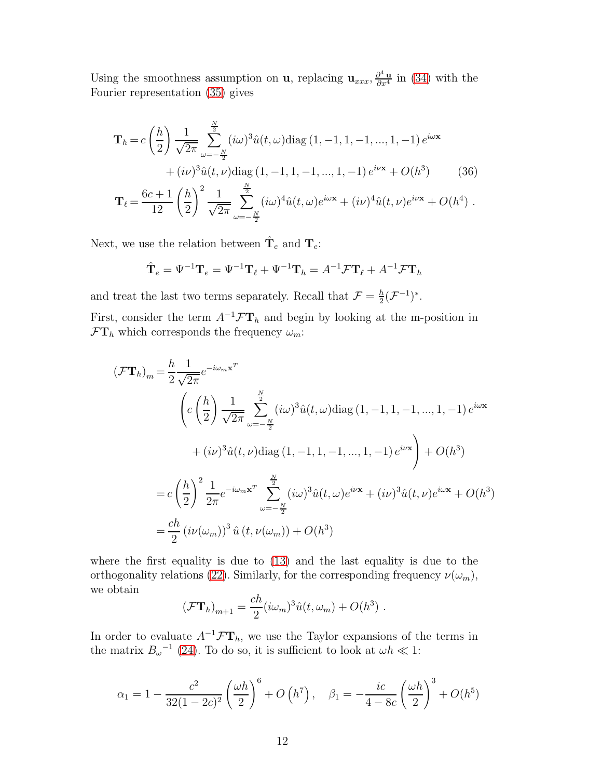Using the smoothness assumption on **u**, replacing  $\mathbf{u}_{xxx}$ ,  $\frac{\partial^4 \mathbf{u}}{\partial x^4}$  in [\(34\)](#page-10-1) with the Fourier representation [\(35\)](#page-10-2) gives

$$
\mathbf{T}_{h} = c \left(\frac{h}{2}\right) \frac{1}{\sqrt{2\pi}} \sum_{\omega=-\frac{N}{2}}^{\frac{N}{2}} (i\omega)^{3} \hat{u}(t,\omega) \text{diag}(1,-1,1,-1,...,1,-1) e^{i\omega x} \n+ (i\nu)^{3} \hat{u}(t,\nu) \text{diag}(1,-1,1,-1,...,1,-1) e^{i\nu x} + O(h^{3})
$$
\n(36)\n
$$
\mathbf{T}_{\ell} = \frac{6c+1}{12} \left(\frac{h}{2}\right)^{2} \frac{1}{\sqrt{2\pi}} \sum_{\omega=-\frac{N}{2}}^{\frac{N}{2}} (i\omega)^{4} \hat{u}(t,\omega) e^{i\omega x} + (i\nu)^{4} \hat{u}(t,\nu) e^{i\nu x} + O(h^{4}) .
$$

Next, we use the relation between  $\hat{\mathbf{T}}_e$  and  $\mathbf{T}_e$ :

$$
\hat{\mathbf{T}}_e = \Psi^{-1}\mathbf{T}_e = \Psi^{-1}\mathbf{T}_\ell + \Psi^{-1}\mathbf{T}_h = A^{-1}\mathcal{F}\mathbf{T}_\ell + A^{-1}\mathcal{F}\mathbf{T}_h
$$

and treat the last two terms separately. Recall that  $\mathcal{F} = \frac{h}{2}$  $\frac{h}{2}(\mathcal{F}^{-1})^*$ .

First, consider the term  $A^{-1} \mathcal{F} \mathbf{T}_h$  and begin by looking at the m-position in  $\mathcal{F}\mathbf{T}_h$  which corresponds the frequency  $\omega_m$ :

$$
(\mathcal{F}\mathbf{T}_{h})_{m} = \frac{h}{2} \frac{1}{\sqrt{2\pi}} e^{-i\omega_{m}\mathbf{x}^{T}}
$$
  

$$
\left(c\left(\frac{h}{2}\right) \frac{1}{\sqrt{2\pi}} \sum_{\omega=-\frac{N}{2}}^{\frac{N}{2}} (i\omega)^{3} \hat{u}(t,\omega) \text{diag}(1,-1,1,-1,...,1,-1) e^{i\omega \mathbf{x}} + (i\nu)^{3} \hat{u}(t,\nu) \text{diag}(1,-1,1,-1,...,1,-1) e^{i\nu \mathbf{x}}\right) + O(h^{3})
$$
  

$$
= c\left(\frac{h}{2}\right)^{2} \frac{1}{2\pi} e^{-i\omega_{m}\mathbf{x}^{T}} \sum_{\omega=-\frac{N}{2}}^{\frac{N}{2}} (i\omega)^{3} \hat{u}(t,\omega) e^{i\nu \mathbf{x}} + (i\nu)^{3} \hat{u}(t,\nu) e^{i\omega \mathbf{x}} + O(h^{3})
$$
  

$$
= \frac{ch}{2} (i\nu(\omega_{m}))^{3} \hat{u}(t,\nu(\omega_{m})) + O(h^{3})
$$

where the first equality is due to [\(13\)](#page-5-0) and the last equality is due to the orthogonality relations [\(22\)](#page-7-2). Similarly, for the corresponding frequency  $\nu(\omega_m)$ , we obtain

$$
(\mathcal{F}\mathbf{T}_h)_{m+1} = \frac{ch}{2} (i\omega_m)^3 \hat{u}(t, \omega_m) + O(h^3) .
$$

In order to evaluate  $A^{-1} \mathcal{F} \mathbf{T}_h$ , we use the Taylor expansions of the terms in the matrix  $B_{\omega}^{-1}$  [\(24\)](#page-8-1). To do so, it is sufficient to look at  $\omega h \ll 1$ :

<span id="page-11-0"></span>
$$
\alpha_1 = 1 - \frac{c^2}{32(1 - 2c)^2} \left(\frac{\omega h}{2}\right)^6 + O\left(h^7\right), \quad \beta_1 = -\frac{ic}{4 - 8c} \left(\frac{\omega h}{2}\right)^3 + O(h^5)
$$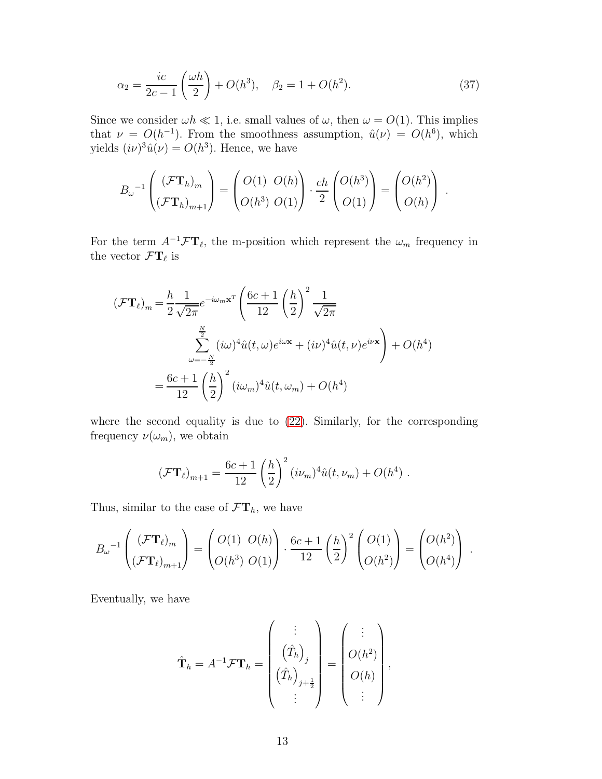$$
\alpha_2 = \frac{ic}{2c - 1} \left( \frac{\omega h}{2} \right) + O(h^3), \quad \beta_2 = 1 + O(h^2). \tag{37}
$$

Since we consider  $\omega h \ll 1$ , i.e. small values of  $\omega$ , then  $\omega = O(1)$ . This implies that  $\nu = O(h^{-1})$ . From the smoothness assumption,  $\hat{u}(\nu) = O(h^6)$ , which yields  $(i\nu)^3 \hat{u}(\nu) = O(h^3)$ . Hence, we have

$$
B_{\omega}^{-1}\left(\frac{(\mathcal{F}\mathbf{T}_h)_m}{(\mathcal{F}\mathbf{T}_h)_{m+1}}\right) = \begin{pmatrix} O(1) & O(h) \\ O(h^3) & O(1) \end{pmatrix} \cdot \frac{ch}{2} \begin{pmatrix} O(h^3) \\ O(1) \end{pmatrix} = \begin{pmatrix} O(h^2) \\ O(h) \end{pmatrix}.
$$

For the term  $A^{-1} \mathcal{F} \mathbf{T}_{\ell}$ , the m-position which represent the  $\omega_m$  frequency in the vector  $\mathcal{F}\mathbf{T}_{\ell}$  is

$$
(\mathcal{F}\mathbf{T}_{\ell})_{m} = \frac{h}{2} \frac{1}{\sqrt{2\pi}} e^{-i\omega_{m}\mathbf{x}^{T}} \left(\frac{6c+1}{12}\left(\frac{h}{2}\right)^{2} \frac{1}{\sqrt{2\pi}}\right)
$$

$$
\sum_{\omega=-\frac{N}{2}}^{\frac{N}{2}} (i\omega)^{4} \hat{u}(t,\omega) e^{i\omega \mathbf{x}} + (i\nu)^{4} \hat{u}(t,\nu) e^{i\nu \mathbf{x}}\right) + O(h^{4})
$$

$$
= \frac{6c+1}{12} \left(\frac{h}{2}\right)^{2} (i\omega_{m})^{4} \hat{u}(t,\omega_{m}) + O(h^{4})
$$

where the second equality is due to [\(22\)](#page-7-2). Similarly, for the corresponding frequency  $\nu(\omega_m)$ , we obtain

$$
(\mathcal{F}\mathbf{T}_{\ell})_{m+1} = \frac{6c+1}{12} \left(\frac{h}{2}\right)^2 (i\nu_m)^4 \hat{u}(t,\nu_m) + O(h^4) .
$$

Thus, similar to the case of  $\mathcal{F}\mathbf{T}_h$ , we have

$$
B_{\omega}^{-1}\left(\frac{(\mathcal{F}\mathbf{T}_{\ell})_m}{(\mathcal{F}\mathbf{T}_{\ell})_{m+1}}\right) = \begin{pmatrix} O(1) & O(h) \\ O(h^3) & O(1) \end{pmatrix} \cdot \frac{6c+1}{12} \left(\frac{h}{2}\right)^2 \begin{pmatrix} O(1) \\ O(h^2) \end{pmatrix} = \begin{pmatrix} O(h^2) \\ O(h^4) \end{pmatrix}.
$$

Eventually, we have

$$
\hat{\mathbf{T}}_h = A^{-1} \mathcal{F} \mathbf{T}_h = \begin{pmatrix} \vdots \\ (\hat{T}_h)_{j} \\ (\hat{T}_h)_{j+\frac{1}{2}} \\ \vdots \end{pmatrix} = \begin{pmatrix} \vdots \\ O(h^2) \\ O(h) \\ \vdots \end{pmatrix},
$$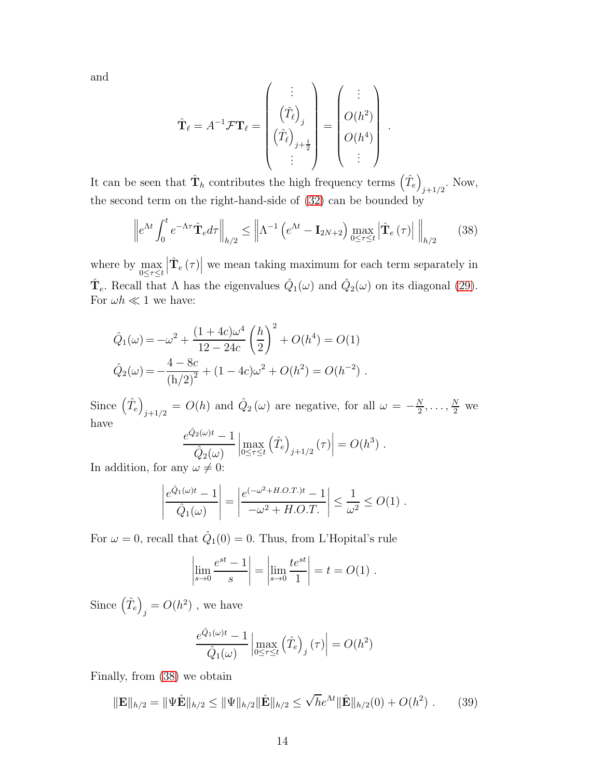and

$$
\hat{\mathbf{T}}_{\ell} = A^{-1} \mathcal{F} \mathbf{T}_{\ell} = \begin{pmatrix} \vdots \\ (\hat{T}_{\ell})_j \\ (\hat{T}_{\ell})_{j+\frac{1}{2}} \\ \vdots \end{pmatrix} = \begin{pmatrix} \vdots \\ O(h^2) \\ O(h^4) \\ \vdots \end{pmatrix}.
$$

It can be seen that  $\hat{\mathbf{T}}_h$  contributes the high frequency terms  $(\hat{T}_e)$  $_{j+1/2}$ . Now, the second term on the right-hand-side of [\(32\)](#page-10-0) can be bounded by

<span id="page-13-0"></span>
$$
\left\| e^{\Lambda t} \int_0^t e^{-\Lambda \tau} \hat{\mathbf{T}}_e d\tau \right\|_{h/2} \le \left\| \Lambda^{-1} \left( e^{\Lambda t} - \mathbf{I}_{2N+2} \right) \max_{0 \le \tau \le t} \left| \hat{\mathbf{T}}_e \left( \tau \right) \right| \right\|_{h/2} \tag{38}
$$

where by max  $0 \leq \tau \leq t$  $\left|\hat{\mathbf{T}}_{e}\left(\tau\right)\right|$  we mean taking maximum for each term separately in  $\hat{\mathbf{T}}_e$ . Recall that  $\Lambda$  has the eigenvalues  $\hat{Q}_1(\omega)$  and  $\hat{Q}_2(\omega)$  on its diagonal [\(29\)](#page-9-3). For  $\omega h \ll 1$  we have:

$$
\hat{Q}_1(\omega) = -\omega^2 + \frac{(1+4c)\omega^4}{12-24c} \left(\frac{h}{2}\right)^2 + O(h^4) = O(1)
$$
  

$$
\hat{Q}_2(\omega) = -\frac{4-8c}{(h/2)^2} + (1-4c)\omega^2 + O(h^2) = O(h^{-2}).
$$

Since  $(\hat{T}_e)$  $j_{j+1/2} = O(h)$  and  $\hat{Q}_2(\omega)$  are negative, for all  $\omega = -\frac{N}{2}$  $\frac{N}{2}, \ldots, \frac{N}{2}$  we have

$$
\frac{e^{\hat{Q}_2(\omega)t} - 1}{\hat{Q}_2(\omega)} \left| \max_{0 \le \tau \le t} (\hat{T}_e)_{j+1/2} (\tau) \right| = O(h^3) .
$$

In addition, for any  $\omega \neq 0$ :

$$
\left| \frac{e^{\hat{Q}_1(\omega)t} - 1}{\hat{Q}_1(\omega)} \right| = \left| \frac{e^{(-\omega^2 + H.O.T.)t} - 1}{-\omega^2 + H.O.T.} \right| \le \frac{1}{\omega^2} \le O(1) .
$$

For  $\omega = 0$ , recall that  $\hat{Q}_1(0) = 0$ . Thus, from L'Hopital's rule

$$
\left| \lim_{s \to 0} \frac{e^{st} - 1}{s} \right| = \left| \lim_{s \to 0} \frac{te^{st}}{1} \right| = t = O(1) .
$$

Since  $(\hat{T}_e)$  $_j = O(h^2)$ , we have

$$
\frac{e^{\hat{Q}_1(\omega)t} - 1}{\hat{Q}_1(\omega)} \left| \max_{0 \le \tau \le t} (\hat{T}_e)_{j} (\tau) \right| = O(h^2)
$$

Finally, from [\(38\)](#page-13-0) we obtain

$$
\|\mathbf{E}\|_{h/2} = \|\Psi\hat{\mathbf{E}}\|_{h/2} \le \|\Psi\|_{h/2} \|\hat{\mathbf{E}}\|_{h/2} \le \sqrt{h}e^{\Lambda t} \|\hat{\mathbf{E}}\|_{h/2}(0) + O(h^2) . \tag{39}
$$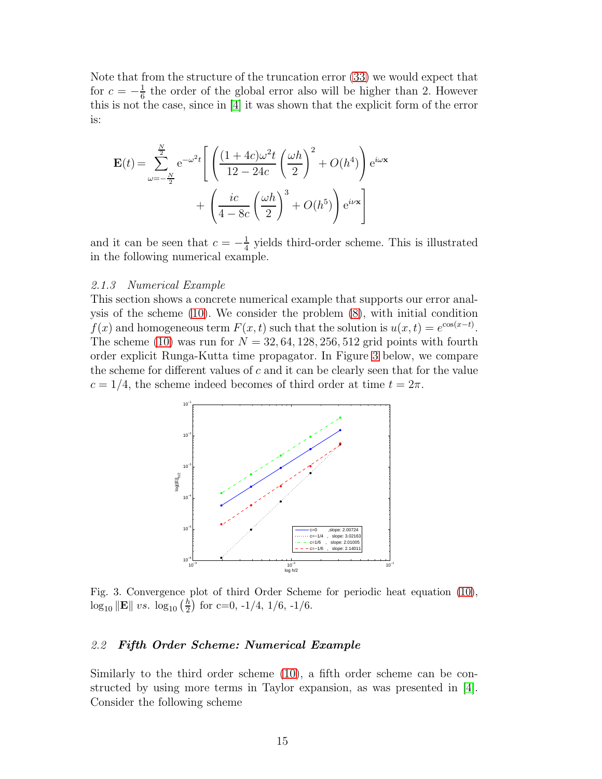Note that from the structure of the truncation error [\(33\)](#page-10-3) we would expect that for  $c = -\frac{1}{6}$  $\frac{1}{6}$  the order of the global error also will be higher than 2. However this is not the case, since in [\[4\]](#page-31-1) it was shown that the explicit form of the error is:

$$
\mathbf{E}(t) = \sum_{\omega=-\frac{N}{2}}^{\frac{N}{2}} e^{-\omega^2 t} \left[ \left( \frac{(1+4c)\omega^2 t}{12-24c} \left( \frac{\omega h}{2} \right)^2 + O(h^4) \right) e^{i\omega x} + \left( \frac{ic}{4-8c} \left( \frac{\omega h}{2} \right)^3 + O(h^5) \right) e^{i\nu x} \right]
$$

and it can be seen that  $c = -\frac{1}{4}$  $\frac{1}{4}$  yields third-order scheme. This is illustrated in the following numerical example.

#### 2.1.3 Numerical Example

This section shows a concrete numerical example that supports our error analysis of the scheme [\(10\)](#page-4-1). We consider the problem [\(8\)](#page-3-2), with initial condition  $f(x)$  and homogeneous term  $F(x,t)$  such that the solution is  $u(x,t) = e^{\cos(x-t)}$ . The scheme [\(10\)](#page-4-1) was run for  $N = 32, 64, 128, 256, 512$  grid points with fourth order explicit Runga-Kutta time propagator. In Figure [3](#page-14-0) below, we compare the scheme for different values of  $c$  and it can be clearly seen that for the value  $c = 1/4$ , the scheme indeed becomes of third order at time  $t = 2\pi$ .

<span id="page-14-0"></span>

Fig. 3. Convergence plot of third Order Scheme for periodic heat equation [\(10\)](#page-4-1),  $\log_{10} \|\mathbf{E}\| \ vs. \ \log_{10} \left(\frac{h}{2}\right)$  $\frac{h}{2}$  for c=0, -1/4, 1/6, -1/6.

## 2.2 Fifth Order Scheme: Numerical Example

Similarly to the third order scheme [\(10\)](#page-4-1), a fifth order scheme can be constructed by using more terms in Taylor expansion, as was presented in [\[4\]](#page-31-1). Consider the following scheme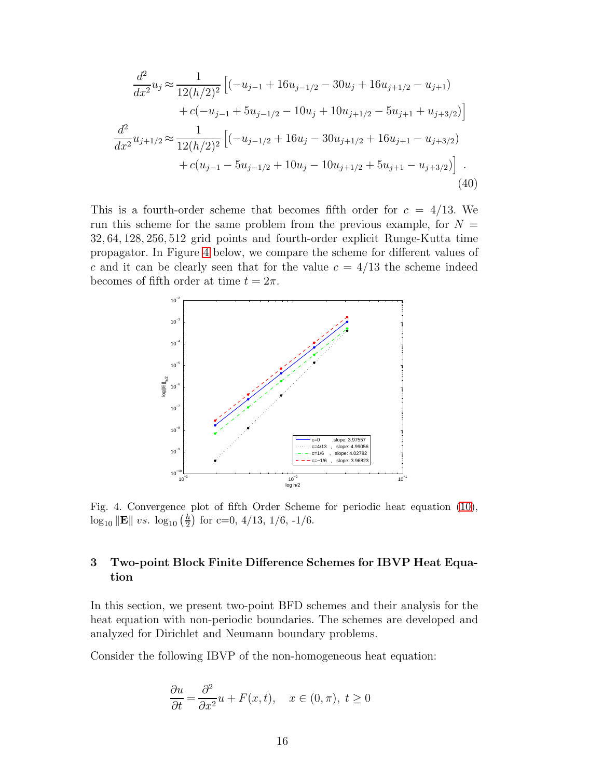<span id="page-15-3"></span>
$$
\frac{d^2}{dx^2}u_j \approx \frac{1}{12(h/2)^2} \left[ (-u_{j-1} + 16u_{j-1/2} - 30u_j + 16u_{j+1/2} - u_{j+1}) \right. \left. + c(-u_{j-1} + 5u_{j-1/2} - 10u_j + 10u_{j+1/2} - 5u_{j+1} + u_{j+3/2}) \right]
$$
\n
$$
\frac{d^2}{dx^2}u_{j+1/2} \approx \frac{1}{12(h/2)^2} \left[ (-u_{j-1/2} + 16u_j - 30u_{j+1/2} + 16u_{j+1} - u_{j+3/2}) \right. \left. + c(u_{j-1} - 5u_{j-1/2} + 10u_j - 10u_{j+1/2} + 5u_{j+1} - u_{j+3/2}) \right].
$$
\n(40)

This is a fourth-order scheme that becomes fifth order for  $c = 4/13$ . We run this scheme for the same problem from the previous example, for  $N =$ 32, 64, 128, 256, 512 grid points and fourth-order explicit Runge-Kutta time propagator. In Figure [4](#page-15-1) below, we compare the scheme for different values of c and it can be clearly seen that for the value  $c = 4/13$  the scheme indeed becomes of fifth order at time  $t = 2\pi$ .

<span id="page-15-1"></span>

Fig. 4. Convergence plot of fifth Order Scheme for periodic heat equation [\(10\)](#page-4-1),  $\log_{10} \|\mathbf{E}\| \ vs. \ \log_{10} \left(\frac{h}{2}\right)$  $\frac{h}{2}$  for c=0, 4/13, 1/6, -1/6.

# <span id="page-15-0"></span>3 Two-point Block Finite Difference Schemes for IBVP Heat Equation

In this section, we present two-point BFD schemes and their analysis for the heat equation with non-periodic boundaries. The schemes are developed and analyzed for Dirichlet and Neumann boundary problems.

<span id="page-15-2"></span>Consider the following IBVP of the non-homogeneous heat equation:

$$
\frac{\partial u}{\partial t} = \frac{\partial^2}{\partial x^2}u + F(x, t), \quad x \in (0, \pi), \ t \ge 0
$$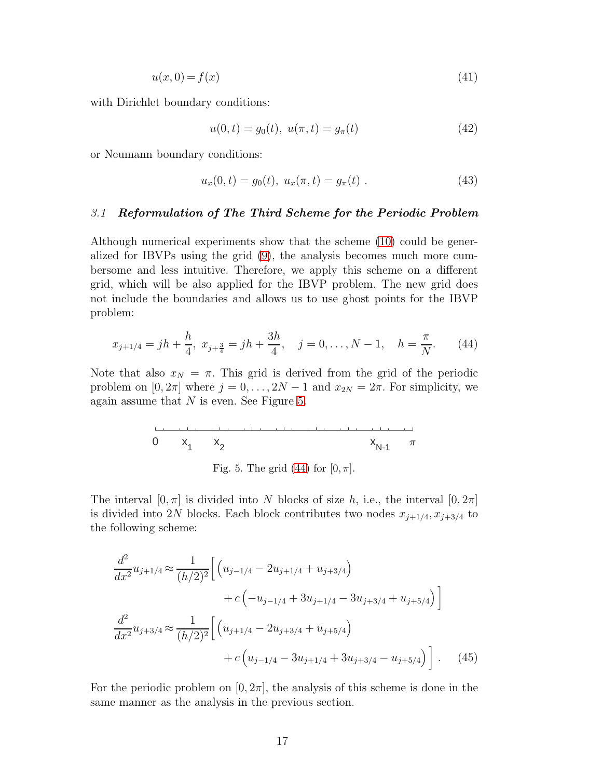$$
u(x,0) = f(x) \tag{41}
$$

with Dirichlet boundary conditions:

<span id="page-16-3"></span>
$$
u(0,t) = g_0(t), \ u(\pi, t) = g_\pi(t) \tag{42}
$$

or Neumann boundary conditions:

<span id="page-16-4"></span>
$$
u_x(0,t) = g_0(t), \ u_x(\pi, t) = g_\pi(t) \ . \tag{43}
$$

## 3.1 Reformulation of The Third Scheme for the Periodic Problem

Although numerical experiments show that the scheme [\(10\)](#page-4-1) could be generalized for IBVPs using the grid [\(9\)](#page-3-1), the analysis becomes much more cumbersome and less intuitive. Therefore, we apply this scheme on a different grid, which will be also applied for the IBVP problem. The new grid does not include the boundaries and allows us to use ghost points for the IBVP problem:

<span id="page-16-1"></span>
$$
x_{j+1/4} = jh + \frac{h}{4}, \ x_{j+\frac{3}{4}} = jh + \frac{3h}{4}, \quad j = 0, \dots, N-1, \quad h = \frac{\pi}{N}.
$$
 (44)

<span id="page-16-0"></span>Note that also  $x_N = \pi$ . This grid is derived from the grid of the periodic problem on  $[0, 2\pi]$  where  $j = 0, \ldots, 2N - 1$  and  $x_{2N} = 2\pi$ . For simplicity, we again assume that  $N$  is even. See Figure [5.](#page-16-0)

0 
$$
x_1
$$
  $x_2$   $x_{N-1}$   $\pi$ 

Fig. 5. The grid [\(44\)](#page-16-1) for  $[0, \pi]$ .

The interval  $[0, \pi]$  is divided into N blocks of size h, i.e., the interval  $[0, 2\pi]$ is divided into 2N blocks. Each block contributes two nodes  $x_{j+1/4}, x_{j+3/4}$  to the following scheme:

<span id="page-16-2"></span>
$$
\frac{d^2}{dx^2} u_{j+1/4} \approx \frac{1}{(h/2)^2} \Big[ \left( u_{j-1/4} - 2u_{j+1/4} + u_{j+3/4} \right) \n+ c \left( -u_{j-1/4} + 3u_{j+1/4} - 3u_{j+3/4} + u_{j+5/4} \right) \Big]
$$
\n
$$
\frac{d^2}{dx^2} u_{j+3/4} \approx \frac{1}{(h/2)^2} \Big[ \left( u_{j+1/4} - 2u_{j+3/4} + u_{j+5/4} \right) \n+ c \left( u_{j-1/4} - 3u_{j+1/4} + 3u_{j+3/4} - u_{j+5/4} \right) \Big]. \tag{45}
$$

For the periodic problem on  $[0, 2\pi]$ , the analysis of this scheme is done in the same manner as the analysis in the previous section.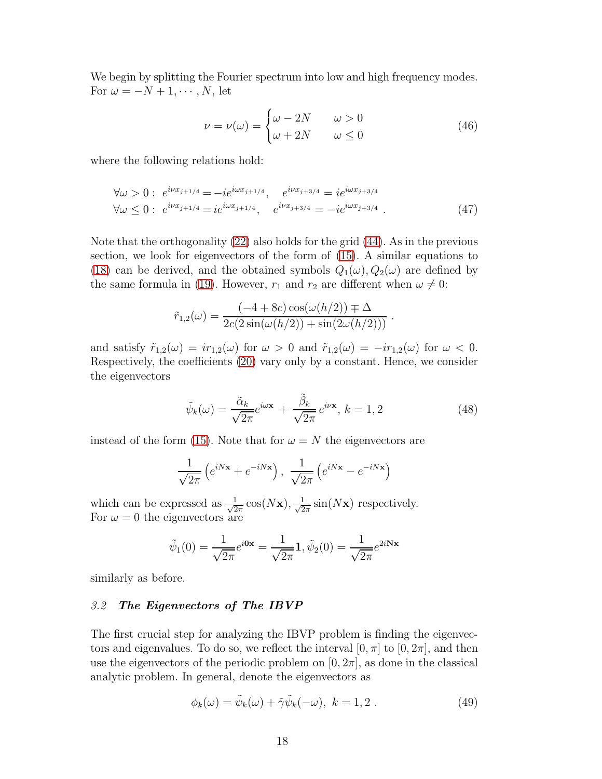We begin by splitting the Fourier spectrum into low and high frequency modes. For  $\omega = -N + 1, \cdots, N$ , let

<span id="page-17-1"></span>
$$
\nu = \nu(\omega) = \begin{cases} \omega - 2N & \omega > 0 \\ \omega + 2N & \omega \le 0 \end{cases}
$$
 (46)

where the following relations hold:

<span id="page-17-2"></span>
$$
\forall \omega > 0: e^{i\nu x_{j+1/4}} = -i e^{i\omega x_{j+1/4}}, \quad e^{i\nu x_{j+3/4}} = i e^{i\omega x_{j+3/4}}
$$
  

$$
\forall \omega \leq 0: e^{i\nu x_{j+1/4}} = i e^{i\omega x_{j+1/4}}, \quad e^{i\nu x_{j+3/4}} = -i e^{i\omega x_{j+3/4}}.
$$
 (47)

Note that the orthogonality [\(22\)](#page-7-2) also holds for the grid [\(44\)](#page-16-1). As in the previous section, we look for eigenvectors of the form of [\(15\)](#page-5-1). A similar equations to [\(18\)](#page-6-2) can be derived, and the obtained symbols  $Q_1(\omega)$ ,  $Q_2(\omega)$  are defined by the same formula in [\(19\)](#page-6-3). However,  $r_1$  and  $r_2$  are different when  $\omega \neq 0$ :

$$
\tilde{r}_{1,2}(\omega) = \frac{(-4 + 8c)\cos(\omega(h/2)) \pm \Delta}{2c(2\sin(\omega(h/2)) + \sin(2\omega(h/2)))}.
$$

and satisfy  $\tilde{r}_{1,2}(\omega) = ir_{1,2}(\omega)$  for  $\omega > 0$  and  $\tilde{r}_{1,2}(\omega) = -ir_{1,2}(\omega)$  for  $\omega < 0$ . Respectively, the coefficients [\(20\)](#page-6-1) vary only by a constant. Hence, we consider the eigenvectors

$$
\tilde{\psi}_k(\omega) = \frac{\tilde{\alpha}_k}{\sqrt{2\pi}} e^{i\omega \mathbf{x}} + \frac{\tilde{\beta}_k}{\sqrt{2\pi}} e^{i\nu \mathbf{x}}, \, k = 1, 2 \tag{48}
$$

instead of the form [\(15\)](#page-5-1). Note that for  $\omega = N$  the eigenvectors are

$$
\frac{1}{\sqrt{2\pi}}\left(e^{iNx} + e^{-iNx}\right), \frac{1}{\sqrt{2\pi}}\left(e^{iNx} - e^{-iNx}\right)
$$

which can be expressed as  $\frac{1}{\sqrt{2}}$  $\frac{1}{2\pi} \cos(N\mathbf{x}), \frac{1}{\sqrt{2}}$  $\frac{1}{2\pi}$  sin(Nx) respectively. For  $\omega = 0$  the eigenvectors are

$$
\tilde{\psi}_1(0) = \frac{1}{\sqrt{2\pi}} e^{i0x} = \frac{1}{\sqrt{2\pi}} \mathbf{1}, \tilde{\psi}_2(0) = \frac{1}{\sqrt{2\pi}} e^{2i\mathbf{N}\mathbf{x}}
$$

similarly as before.

## 3.2 The Eigenvectors of The IBVP

The first crucial step for analyzing the IBVP problem is finding the eigenvectors and eigenvalues. To do so, we reflect the interval  $[0, \pi]$  to  $[0, 2\pi]$ , and then use the eigenvectors of the periodic problem on  $[0, 2\pi]$ , as done in the classical analytic problem. In general, denote the eigenvectors as

<span id="page-17-0"></span>
$$
\phi_k(\omega) = \tilde{\psi}_k(\omega) + \tilde{\gamma}\tilde{\psi}_k(-\omega), \ k = 1, 2. \tag{49}
$$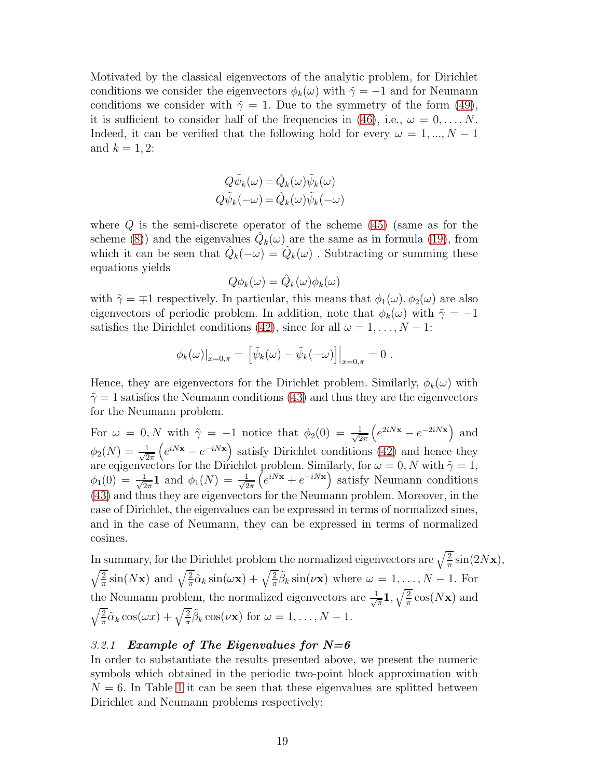Motivated by the classical eigenvectors of the analytic problem, for Dirichlet conditions we consider the eigenvectors  $\phi_k(\omega)$  with  $\tilde{\gamma} = -1$  and for Neumann conditions we consider with  $\tilde{\gamma}=1$ . Due to the symmetry of the form [\(49\)](#page-17-0), it is sufficient to consider half of the frequencies in [\(46\)](#page-17-1), i.e.,  $\omega = 0, \ldots, N$ . Indeed, it can be verified that the following hold for every  $\omega = 1, ..., N - 1$ and  $k = 1, 2$ :

$$
Q\tilde{\psi}_k(\omega) = \hat{Q}_k(\omega)\tilde{\psi}_k(\omega)
$$
  

$$
Q\tilde{\psi}_k(-\omega) = \hat{Q}_k(\omega)\tilde{\psi}_k(-\omega)
$$

where  $Q$  is the semi-discrete operator of the scheme  $(45)$  (same as for the scheme [\(8\)](#page-3-2)) and the eigenvalues  $\hat{Q}_k(\omega)$  are the same as in formula [\(19\)](#page-6-3), from which it can be seen that  $\hat{Q}_k(-\omega) = \hat{Q}_k(\omega)$ . Subtracting or summing these equations yields

$$
Q\phi_k(\omega) = \hat{Q}_k(\omega)\phi_k(\omega)
$$

with  $\tilde{\gamma} = \pm 1$  respectively. In particular, this means that  $\phi_1(\omega), \phi_2(\omega)$  are also eigenvectors of periodic problem. In addition, note that  $\phi_k(\omega)$  with  $\tilde{\gamma} = -1$ satisfies the Dirichlet conditions [\(42\)](#page-16-3), since for all  $\omega = 1, \ldots, N - 1$ :

$$
\phi_k(\omega)|_{x=0,\pi} = \left[\tilde{\psi}_k(\omega) - \tilde{\psi}_k(-\omega)\right]|_{x=0,\pi} = 0.
$$

Hence, they are eigenvectors for the Dirichlet problem. Similarly,  $\phi_k(\omega)$  with  $\tilde{\gamma} = 1$  satisfies the Neumann conditions [\(43\)](#page-16-4) and thus they are the eigenvectors for the Neumann problem.

For  $\omega = 0, N$  with  $\tilde{\gamma} = -1$  notice that  $\phi_2(0) = \frac{1}{\sqrt{2}}$  $2\pi$  $\left(e^{2iNx} - e^{-2iNx}\right)$  and  $\phi_2(N) = \frac{1}{\sqrt{2\pi}} \left( e^{iNx} - e^{-iNx} \right)$  satisfy Dirichlet conditions [\(42\)](#page-16-3) and hence they are eqigenvectors for the Dirichlet problem. Similarly, for  $\omega = 0$ , N with  $\tilde{\gamma} = 1$ ,  $\phi_1(0) = \frac{1}{\sqrt{2}}$  $\frac{1}{2\pi}$ **1** and  $\phi_1(N) = \frac{1}{\sqrt{2}}$  $2\pi$  $(e^{iNx}+e^{-iNx})$  satisfy Neumann conditions [\(43\)](#page-16-4) and thus they are eigenvectors for the Neumann problem. Moreover, in the case of Dirichlet, the eigenvalues can be expressed in terms of normalized sines, and in the case of Neumann, they can be expressed in terms of normalized cosines.

In summary, for the Dirichlet problem the normalized eigenvectors are  $\sqrt{\frac{2}{\pi}}\sin(2N\mathbf{x}),$  $\sqrt{2}$  $\frac{2}{\pi}$ sin(Nx) and  $\sqrt{\frac{2}{\pi}}\tilde{\alpha}_k \sin(\omega x) + \sqrt{\frac{2}{\pi}}\tilde{\beta}_k \sin(\nu x)$  where  $\omega = 1, ..., N - 1$ . For the Neumann problem, the normalized eigenvectors are  $\frac{1}{\sqrt{2}}$  $\frac{1}{\pi}\mathbf{1},\sqrt{\frac{2}{\pi}}$  $\frac{2}{\pi} \cos(N_{\mathbf{X}})$  and  $\sqrt{2}$  $\frac{2}{\pi}\tilde{\alpha}_k \cos(\omega x) + \sqrt{\frac{2}{\pi}}\tilde{\beta}_k \cos(\nu x)$  for  $\omega = 1, \ldots, N-1$ .

## 3.2.1 Example of The Eigenvalues for  $N=6$

In order to substantiate the results presented above, we present the numeric symbols which obtained in the periodic two-point block approximation with  $N = 6$ . In Table [1](#page-19-0) it can be seen that these eigenvalues are splitted between Dirichlet and Neumann problems respectively: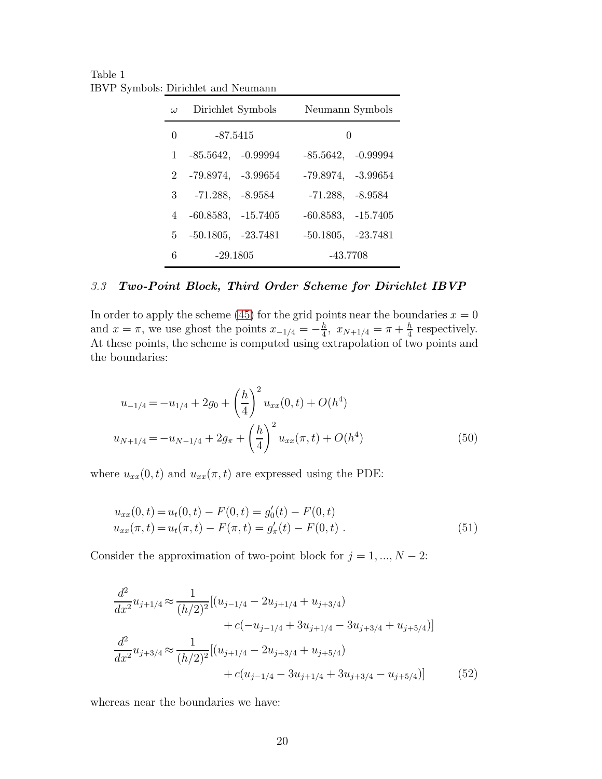<span id="page-19-0"></span>Table 1 IBVP Symbols: Dirichlet and Neumann

| $\omega$ | Dirichlet Symbols      |  | Neumann Symbols         |  |
|----------|------------------------|--|-------------------------|--|
| $\Omega$ | $-87.5415$             |  | $\left( \right)$        |  |
| 1        | $-85.5642, -0.99994$   |  | $-85.5642, -0.99994$    |  |
|          | 2 -79.8974, -3.99654   |  | $-79.8974, -3.99654$    |  |
|          | $3 - 71.288, -8.9584$  |  | $-71.288, -8.9584$      |  |
|          | $4 -60.8583, -15.7405$ |  | $-60.8583, -15.7405$    |  |
|          | $5$ -50.1805, -23.7481 |  | $-50.1805$ , $-23.7481$ |  |
| 6        | $-29.1805$             |  | $-43.7708$              |  |

## 3.3 Two-Point Block, Third Order Scheme for Dirichlet IBVP

In order to apply the scheme [\(45\)](#page-16-2) for the grid points near the boundaries  $x = 0$ and  $x = \pi$ , we use ghost the points  $x_{-1/4} = -\frac{h}{4}$  $\frac{h}{4}$ ,  $x_{N+1/4} = \pi + \frac{h}{4}$  $\frac{h}{4}$  respectively. At these points, the scheme is computed using extrapolation of two points and the boundaries:

<span id="page-19-2"></span>
$$
u_{-1/4} = -u_{1/4} + 2g_0 + \left(\frac{h}{4}\right)^2 u_{xx}(0, t) + O(h^4)
$$
  

$$
u_{N+1/4} = -u_{N-1/4} + 2g_\pi + \left(\frac{h}{4}\right)^2 u_{xx}(\pi, t) + O(h^4)
$$
 (50)

where  $u_{xx}(0, t)$  and  $u_{xx}(\pi, t)$  are expressed using the PDE:

<span id="page-19-3"></span>
$$
u_{xx}(0,t) = u_t(0,t) - F(0,t) = g'_0(t) - F(0,t)
$$
  
\n
$$
u_{xx}(\pi, t) = u_t(\pi, t) - F(\pi, t) = g'_\pi(t) - F(0,t)
$$
 (51)

Consider the approximation of two-point block for  $j = 1, ..., N - 2$ :

<span id="page-19-1"></span>
$$
\frac{d^2}{dx^2}u_{j+1/4} \approx \frac{1}{(h/2)^2}[(u_{j-1/4} - 2u_{j+1/4} + u_{j+3/4})
$$
  
+  $c(-u_{j-1/4} + 3u_{j+1/4} - 3u_{j+3/4} + u_{j+5/4})]$   

$$
\frac{d^2}{dx^2}u_{j+3/4} \approx \frac{1}{(h/2)^2}[(u_{j+1/4} - 2u_{j+3/4} + u_{j+5/4})
$$
  
+  $c(u_{j-1/4} - 3u_{j+1/4} + 3u_{j+3/4} - u_{j+5/4})]$  (52)

whereas near the boundaries we have: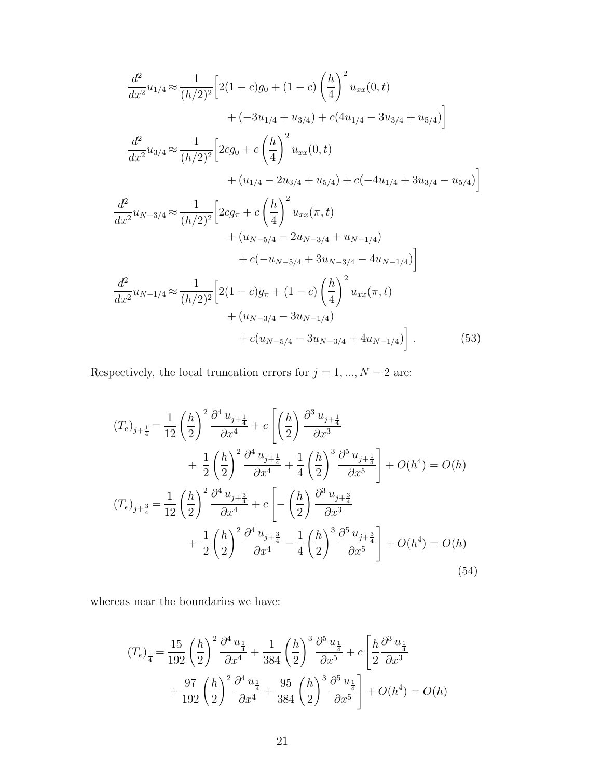<span id="page-20-0"></span>
$$
\frac{d^2}{dx^2}u_{1/4} \approx \frac{1}{(h/2)^2} \Big[ 2(1-c)g_0 + (1-c)\left(\frac{h}{4}\right)^2 u_{xx}(0,t) \n+ (-3u_{1/4} + u_{3/4}) + c(4u_{1/4} - 3u_{3/4} + u_{5/4}) \Big]
$$
\n
$$
\frac{d^2}{dx^2}u_{3/4} \approx \frac{1}{(h/2)^2} \Big[ 2cg_0 + c\left(\frac{h}{4}\right)^2 u_{xx}(0,t) \n+ (u_{1/4} - 2u_{3/4} + u_{5/4}) + c(-4u_{1/4} + 3u_{3/4} - u_{5/4}) \Big]
$$
\n
$$
\frac{d^2}{dx^2}u_{N-3/4} \approx \frac{1}{(h/2)^2} \Big[ 2cg_\pi + c\left(\frac{h}{4}\right)^2 u_{xx}(\pi,t) \n+ (u_{N-5/4} - 2u_{N-3/4} + u_{N-1/4}) \n+ c(-u_{N-5/4} + 3u_{N-3/4} - 4u_{N-1/4}) \Big]
$$
\n
$$
\frac{d^2}{dx^2}u_{N-1/4} \approx \frac{1}{(h/2)^2} \Big[ 2(1-c)g_\pi + (1-c)\left(\frac{h}{4}\right)^2 u_{xx}(\pi,t) \n+ (u_{N-3/4} - 3u_{N-1/4}) \n+ (u_{N-3/4} - 3u_{N-3/4} + 4u_{N-1/4}) \Big] . \tag{53}
$$

Respectively, the local truncation errors for  $j=1,...,N-2$  are:

<span id="page-20-1"></span>
$$
(T_e)_{j+\frac{1}{4}} = \frac{1}{12} \left(\frac{h}{2}\right)^2 \frac{\partial^4 u_{j+\frac{1}{4}}}{\partial x^4} + c \left[ \left(\frac{h}{2}\right) \frac{\partial^3 u_{j+\frac{1}{4}}}{\partial x^3} + \frac{1}{2} \left(\frac{h}{2}\right)^2 \frac{\partial^4 u_{j+\frac{1}{4}}}{\partial x^4} + \frac{1}{4} \left(\frac{h}{2}\right)^3 \frac{\partial^5 u_{j+\frac{1}{4}}}{\partial x^5} \right] + O(h^4) = O(h)
$$
  
\n
$$
(T_e)_{j+\frac{3}{4}} = \frac{1}{12} \left(\frac{h}{2}\right)^2 \frac{\partial^4 u_{j+\frac{3}{4}}}{\partial x^4} + c \left[ -\left(\frac{h}{2}\right) \frac{\partial^3 u_{j+\frac{3}{4}}}{\partial x^3} + \frac{1}{2} \left(\frac{h}{2}\right)^2 \frac{\partial^4 u_{j+\frac{3}{4}}}{\partial x^4} - \frac{1}{4} \left(\frac{h}{2}\right)^3 \frac{\partial^5 u_{j+\frac{3}{4}}}{\partial x^5} \right] + O(h^4) = O(h)
$$
  
\n(54)

whereas near the boundaries we have:

<span id="page-20-2"></span>
$$
(T_e)_{\frac{1}{4}} = \frac{15}{192} \left(\frac{h}{2}\right)^2 \frac{\partial^4 u_{\frac{1}{4}}}{\partial x^4} + \frac{1}{384} \left(\frac{h}{2}\right)^3 \frac{\partial^5 u_{\frac{1}{4}}}{\partial x^5} + c \left[\frac{h}{2} \frac{\partial^3 u_{\frac{1}{4}}}{\partial x^3} + \frac{97}{192} \left(\frac{h}{2}\right)^2 \frac{\partial^4 u_{\frac{1}{4}}}{\partial x^4} + \frac{95}{384} \left(\frac{h}{2}\right)^3 \frac{\partial^5 u_{\frac{1}{4}}}{\partial x^5}\right] + O(h^4) = O(h)
$$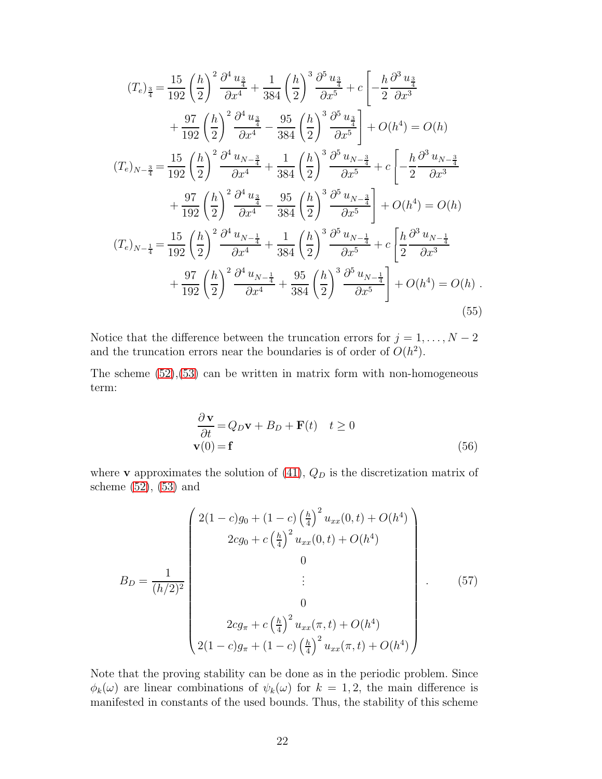$$
(T_e)_{\frac{3}{4}} = \frac{15}{192} \left(\frac{h}{2}\right)^2 \frac{\partial^4 u_{\frac{3}{4}}}{\partial x^4} + \frac{1}{384} \left(\frac{h}{2}\right)^3 \frac{\partial^5 u_{\frac{3}{4}}}{\partial x^5} + c \left[-\frac{h}{2} \frac{\partial^3 u_{\frac{3}{4}}}{\partial x^3} + \frac{97}{192} \left(\frac{h}{2}\right)^2 \frac{\partial^4 u_{\frac{3}{4}}}{\partial x^4} - \frac{95}{384} \left(\frac{h}{2}\right)^3 \frac{\partial^5 u_{\frac{3}{4}}}{\partial x^5}\right] + O(h^4) = O(h)
$$
\n
$$
(T_e)_{N-\frac{3}{4}} = \frac{15}{192} \left(\frac{h}{2}\right)^2 \frac{\partial^4 u_{N-\frac{3}{4}}}{\partial x^4} + \frac{1}{384} \left(\frac{h}{2}\right)^3 \frac{\partial^5 u_{N-\frac{3}{4}}}{\partial x^5} + c \left[-\frac{h}{2} \frac{\partial^3 u_{N-\frac{3}{4}}}{\partial x^3} + \frac{97}{192} \left(\frac{h}{2}\right)^2 \frac{\partial^4 u_{\frac{3}{4}}}{\partial x^4} - \frac{95}{384} \left(\frac{h}{2}\right)^3 \frac{\partial^5 u_{N-\frac{3}{4}}}{\partial x^5}\right] + O(h^4) = O(h)
$$
\n
$$
(T_e)_{N-\frac{1}{4}} = \frac{15}{192} \left(\frac{h}{2}\right)^2 \frac{\partial^4 u_{N-\frac{1}{4}}}{\partial x^4} + \frac{1}{384} \left(\frac{h}{2}\right)^3 \frac{\partial^5 u_{N-\frac{1}{4}}}{\partial x^5} + c \left[\frac{h}{2} \frac{\partial^3 u_{N-\frac{1}{4}}}{\partial x^3} + \frac{97}{192} \left(\frac{h}{2}\right)^2 \frac{\partial^4 u_{N-\frac{1}{4}}}{\partial x^4} + \frac{95}{384} \left(\frac{h}{2}\right)^3 \frac{\partial^5 u_{N-\frac{1}{4}}}{\partial x^5}\right] + O(h^4) = O(h)
$$
\n
$$
(55)
$$

Notice that the difference between the truncation errors for  $j = 1, ..., N - 2$ and the truncation errors near the boundaries is of order of  $O(h^2)$ .

The scheme  $(52),(53)$  $(52),(53)$  can be written in matrix form with non-homogeneous term:

$$
\frac{\partial \mathbf{v}}{\partial t} = Q_D \mathbf{v} + B_D + \mathbf{F}(t) \quad t \ge 0
$$
  

$$
\mathbf{v}(0) = \mathbf{f}
$$
 (56)

where **v** approximates the solution of  $(41)$ ,  $Q_D$  is the discretization matrix of scheme [\(52\)](#page-19-1), [\(53\)](#page-20-0) and

<span id="page-21-0"></span>
$$
B_D = \frac{1}{(h/2)^2} \begin{pmatrix} 2(1-c)g_0 + (1-c)\left(\frac{h}{4}\right)^2 u_{xx}(0,t) + O(h^4) \\ 2cg_0 + c\left(\frac{h}{4}\right)^2 u_{xx}(0,t) + O(h^4) \\ 0 \\ \vdots \\ 2cg_\pi + c\left(\frac{h}{4}\right)^2 u_{xx}(\pi, t) + O(h^4) \\ 2(1-c)g_\pi + (1-c)\left(\frac{h}{4}\right)^2 u_{xx}(\pi, t) + O(h^4) \end{pmatrix}
$$
(57)

Note that the proving stability can be done as in the periodic problem. Since  $\phi_k(\omega)$  are linear combinations of  $\psi_k(\omega)$  for  $k = 1, 2$ , the main difference is manifested in constants of the used bounds. Thus, the stability of this scheme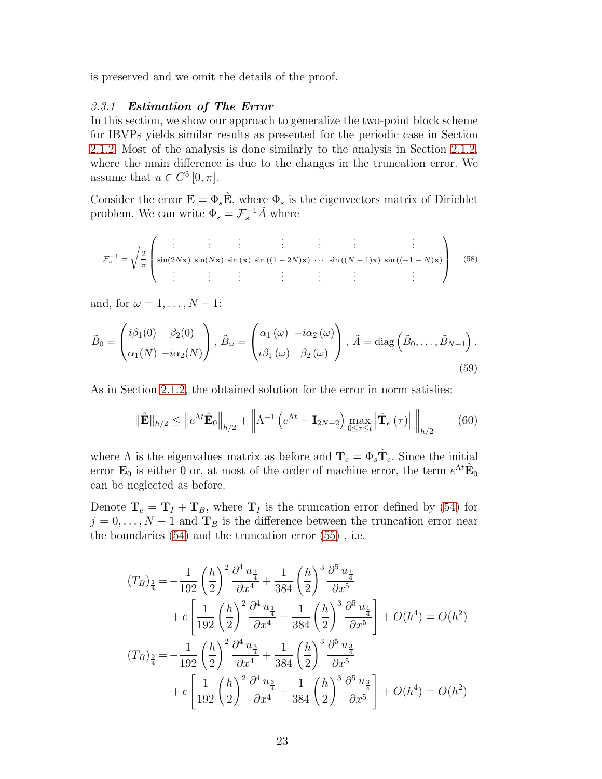is preserved and we omit the details of the proof.

## 3.3.1 Estimation of The Error

In this section, we show our approach to generalize the two-point block scheme for IBVPs yields similar results as presented for the periodic case in Section [2.1.2.](#page-9-4) Most of the analysis is done similarly to the analysis in Section [2.1.2,](#page-9-4) where the main difference is due to the changes in the truncation error. We assume that  $u \in C^5[0, \pi]$ .

Consider the error  $\mathbf{E} = \Phi_s \hat{\mathbf{E}}$ , where  $\Phi_s$  is the eigenvectors matrix of Dirichlet problem. We can write  $\Phi_s = \mathcal{F}_s^{-1} \tilde{A}$  where

$$
\mathcal{F}_s^{-1} = \sqrt{\frac{2}{\pi}} \left( \sin(2N\mathbf{x}) \sin(N\mathbf{x}) \sin(\mathbf{x}) \sin((1-2N)\mathbf{x}) \cdots \sin((N-1)\mathbf{x}) \sin((-1-N)\mathbf{x}) \right)
$$
(58)

and, for  $\omega = 1, \ldots, N - 1$ :

<span id="page-22-0"></span>
$$
\tilde{B}_0 = \begin{pmatrix} i\beta_1(0) & \beta_2(0) \\ \alpha_1(N) & -i\alpha_2(N) \end{pmatrix}, \ \tilde{B}_\omega = \begin{pmatrix} \alpha_1(\omega) & -i\alpha_2(\omega) \\ i\beta_1(\omega) & \beta_2(\omega) \end{pmatrix}, \ \tilde{A} = \text{diag}\left(\tilde{B}_0, \dots, \tilde{B}_{N-1}\right).
$$
\n(59)

As in Section [2.1.2,](#page-9-4) the obtained solution for the error in norm satisfies:

$$
\|\hat{\mathbf{E}}\|_{h/2} \leq \left\|e^{\Lambda t}\hat{\mathbf{E}}_0\right\|_{h/2} + \left\|\Lambda^{-1}\left(e^{\Lambda t} - \mathbf{I}_{2N+2}\right)\max_{0 \leq \tau \leq t} \left|\hat{\mathbf{T}}_e\left(\tau\right)\right|\Big|_{h/2} \tag{60}
$$

where  $\Lambda$  is the eigenvalues matrix as before and  $\mathbf{T}_e = \Phi_s \hat{\mathbf{T}}_e$ . Since the initial error  $\mathbf{E}_0$  is either 0 or, at most of the order of machine error, the term  $e^{\Lambda t} \hat{\mathbf{E}}_0$ can be neglected as before.

Denote  $\mathbf{T}_e = \mathbf{T}_I + \mathbf{T}_B$ , where  $\mathbf{T}_I$  is the truncation error defined by [\(54\)](#page-20-1) for  $j = 0, \ldots, N - 1$  and  $\mathbf{T}_B$  is the difference between the truncation error near the boundaries [\(54\)](#page-20-1) and the truncation error [\(55\)](#page-20-2) , i.e.

$$
(T_B)_{\frac{1}{4}} = -\frac{1}{192} \left(\frac{h}{2}\right)^2 \frac{\partial^4 u_{\frac{1}{4}}}{\partial x^4} + \frac{1}{384} \left(\frac{h}{2}\right)^3 \frac{\partial^5 u_{\frac{1}{4}}}{\partial x^5} + c \left[\frac{1}{192} \left(\frac{h}{2}\right)^2 \frac{\partial^4 u_{\frac{1}{4}}}{\partial x^4} - \frac{1}{384} \left(\frac{h}{2}\right)^3 \frac{\partial^5 u_{\frac{1}{4}}}{\partial x^5}\right] + O(h^4) = O(h^2) (T_B)_{\frac{3}{4}} = -\frac{1}{192} \left(\frac{h}{2}\right)^2 \frac{\partial^4 u_{\frac{3}{4}}}{\partial x^4} + \frac{1}{384} \left(\frac{h}{2}\right)^3 \frac{\partial^5 u_{\frac{3}{4}}}{\partial x^5} + c \left[\frac{1}{192} \left(\frac{h}{2}\right)^2 \frac{\partial^4 u_{\frac{3}{4}}}{\partial x^4} + \frac{1}{384} \left(\frac{h}{2}\right)^3 \frac{\partial^5 u_{\frac{3}{4}}}{\partial x^5}\right] + O(h^4) = O(h^2)
$$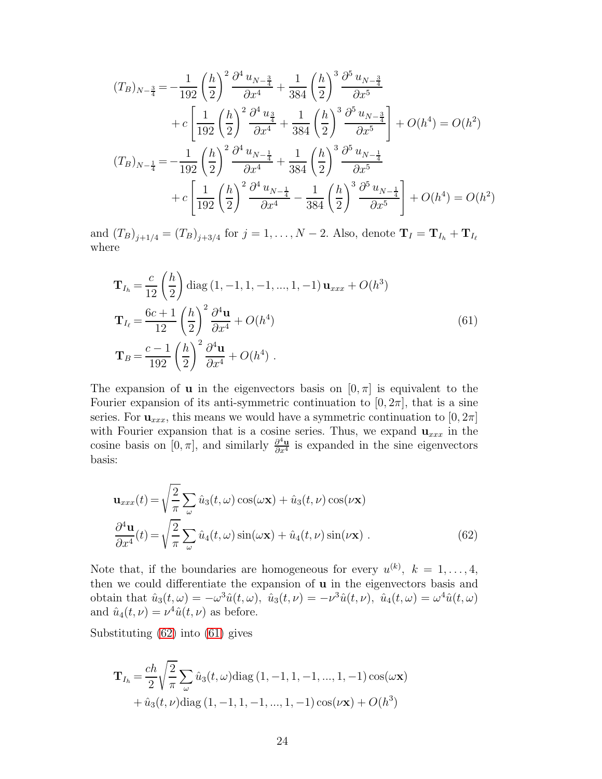$$
(T_B)_{N-\frac{3}{4}} = -\frac{1}{192} \left(\frac{h}{2}\right)^2 \frac{\partial^4 u_{N-\frac{3}{4}}}{\partial x^4} + \frac{1}{384} \left(\frac{h}{2}\right)^3 \frac{\partial^5 u_{N-\frac{3}{4}}}{\partial x^5} + c \left[\frac{1}{192} \left(\frac{h}{2}\right)^2 \frac{\partial^4 u_{\frac{3}{4}}}{\partial x^4} + \frac{1}{384} \left(\frac{h}{2}\right)^3 \frac{\partial^5 u_{N-\frac{3}{4}}}{\partial x^5}\right] + O(h^4) = O(h^2) (T_B)_{N-\frac{1}{4}} = -\frac{1}{192} \left(\frac{h}{2}\right)^2 \frac{\partial^4 u_{N-\frac{1}{4}}}{\partial x^4} + \frac{1}{384} \left(\frac{h}{2}\right)^3 \frac{\partial^5 u_{N-\frac{1}{4}}}{\partial x^5} + c \left[\frac{1}{192} \left(\frac{h}{2}\right)^2 \frac{\partial^4 u_{N-\frac{1}{4}}}{\partial x^4} - \frac{1}{384} \left(\frac{h}{2}\right)^3 \frac{\partial^5 u_{N-\frac{1}{4}}}{\partial x^5}\right] + O(h^4) = O(h^2)
$$

and  $(T_B)_{j+1/4} = (T_B)_{j+3/4}$  for  $j = 1, ..., N-2$ . Also, denote  $T_I = T_{I_h} + T_{I_\ell}$ where

<span id="page-23-1"></span>
$$
\mathbf{T}_{I_h} = \frac{c}{12} \left(\frac{h}{2}\right) \text{diag}\left(1, -1, 1, -1, ..., 1, -1\right) \mathbf{u}_{xxx} + O(h^3)
$$
\n
$$
\mathbf{T}_{I_\ell} = \frac{6c+1}{12} \left(\frac{h}{2}\right)^2 \frac{\partial^4 \mathbf{u}}{\partial x^4} + O(h^4)
$$
\n
$$
\mathbf{T}_B = \frac{c-1}{192} \left(\frac{h}{2}\right)^2 \frac{\partial^4 \mathbf{u}}{\partial x^4} + O(h^4) \tag{61}
$$

The expansion of **u** in the eigenvectors basis on  $[0, \pi]$  is equivalent to the Fourier expansion of its anti-symmetric continuation to  $[0, 2\pi]$ , that is a sine series. For  $\mathbf{u}_{xxx}$ , this means we would have a symmetric continuation to  $[0, 2\pi]$ with Fourier expansion that is a cosine series. Thus, we expand  $\mathbf{u}_{xxx}$  in the cosine basis on [0,  $\pi$ ], and similarly  $\frac{\partial^4 u}{\partial x^4}$  $\frac{\partial^2 \mathbf{u}}{\partial x^4}$  is expanded in the sine eigenvectors basis:

<span id="page-23-0"></span>
$$
\mathbf{u}_{xxx}(t) = \sqrt{\frac{2}{\pi}} \sum_{\omega} \hat{u}_3(t,\omega) \cos(\omega \mathbf{x}) + \hat{u}_3(t,\nu) \cos(\nu \mathbf{x})
$$

$$
\frac{\partial^4 \mathbf{u}}{\partial x^4}(t) = \sqrt{\frac{2}{\pi}} \sum_{\omega} \hat{u}_4(t,\omega) \sin(\omega \mathbf{x}) + \hat{u}_4(t,\nu) \sin(\nu \mathbf{x}) . \tag{62}
$$

Note that, if the boundaries are homogeneous for every  $u^{(k)}$ ,  $k = 1, \ldots, 4$ , then we could differentiate the expansion of  $\bf{u}$  in the eigenvectors basis and obtain that  $\hat{u}_3(t,\omega) = -\omega^3 \hat{u}(t,\omega)$ ,  $\hat{u}_3(t,\nu) = -\nu^3 \hat{u}(t,\nu)$ ,  $\hat{u}_4(t,\omega) = \omega^4 \hat{u}(t,\omega)$ and  $\hat{u}_4(t,\nu) = \nu^4 \hat{u}(t,\nu)$  as before.

Substituting [\(62\)](#page-23-0) into [\(61\)](#page-23-1) gives

$$
\mathbf{T}_{I_h} = \frac{ch}{2} \sqrt{\frac{2}{\pi}} \sum_{\omega} \hat{u}_3(t, \omega) \text{diag}(1, -1, 1, -1, ..., 1, -1) \cos(\omega \mathbf{x}) + \hat{u}_3(t, \nu) \text{diag}(1, -1, 1, -1, ..., 1, -1) \cos(\nu \mathbf{x}) + O(h^3)
$$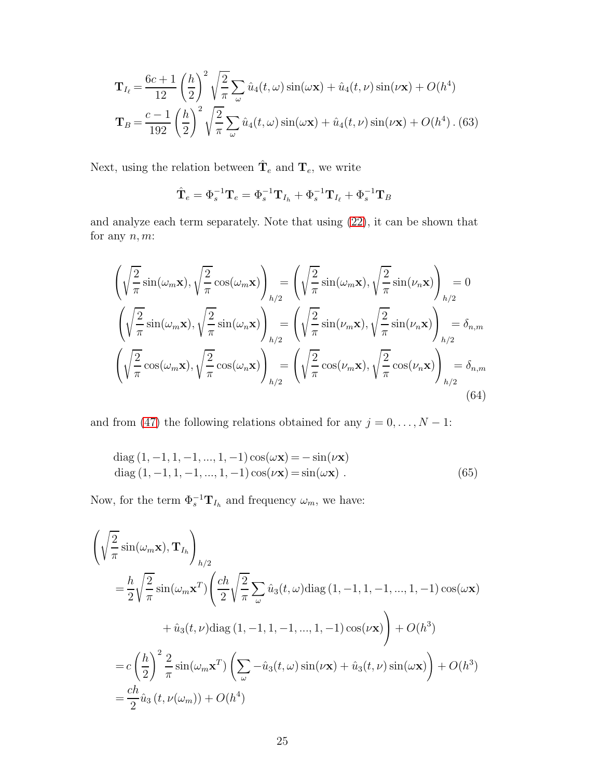$$
\mathbf{T}_{I_{\ell}} = \frac{6c+1}{12} \left(\frac{h}{2}\right)^2 \sqrt{\frac{2}{\pi}} \sum_{\omega} \hat{u}_4(t,\omega) \sin(\omega \mathbf{x}) + \hat{u}_4(t,\nu) \sin(\nu \mathbf{x}) + O(h^4)
$$

$$
\mathbf{T}_B = \frac{c-1}{192} \left(\frac{h}{2}\right)^2 \sqrt{\frac{2}{\pi}} \sum_{\omega} \hat{u}_4(t,\omega) \sin(\omega \mathbf{x}) + \hat{u}_4(t,\nu) \sin(\nu \mathbf{x}) + O(h^4) \tag{63}
$$

Next, using the relation between  $\hat{\mathbf{T}}_e$  and  $\mathbf{T}_e$ , we write

$$
\hat{\mathbf{T}}_e = \Phi_s^{-1} \mathbf{T}_e = \Phi_s^{-1} \mathbf{T}_{I_h} + \Phi_s^{-1} \mathbf{T}_{I_\ell} + \Phi_s^{-1} \mathbf{T}_B
$$

and analyze each term separately. Note that using [\(22\)](#page-7-2), it can be shown that for any  $n, m$ :

$$
\left(\sqrt{\frac{2}{\pi}}\sin(\omega_m \mathbf{x}), \sqrt{\frac{2}{\pi}}\cos(\omega_m \mathbf{x})\right)_{h/2} = \left(\sqrt{\frac{2}{\pi}}\sin(\omega_m \mathbf{x}), \sqrt{\frac{2}{\pi}}\sin(\nu_n \mathbf{x})\right)_{h/2} = 0
$$

$$
\left(\sqrt{\frac{2}{\pi}}\sin(\omega_m \mathbf{x}), \sqrt{\frac{2}{\pi}}\sin(\omega_n \mathbf{x})\right)_{h/2} = \left(\sqrt{\frac{2}{\pi}}\sin(\nu_m \mathbf{x}), \sqrt{\frac{2}{\pi}}\sin(\nu_n \mathbf{x})\right)_{h/2} = \delta_{n,m}
$$

$$
\left(\sqrt{\frac{2}{\pi}}\cos(\omega_m \mathbf{x}), \sqrt{\frac{2}{\pi}}\cos(\omega_n \mathbf{x})\right)_{h/2} = \left(\sqrt{\frac{2}{\pi}}\cos(\nu_m \mathbf{x}), \sqrt{\frac{2}{\pi}}\cos(\nu_n \mathbf{x})\right)_{h/2} = \delta_{n,m}
$$
(64)

and from [\(47\)](#page-17-2) the following relations obtained for any  $j = 0, \ldots, N - 1$ :

diag (1, -1, 1, -1, ..., 1, -1) cos(
$$
\omega
$$
**x**) = -sin( $\nu$ **x**)  
diag (1, -1, 1, -1, ..., 1, -1) cos( $\nu$ **x**) = sin( $\omega$ **x**) . (65)

Now, for the term  $\Phi_s^{-1} \mathbf{T}_{I_h}$  and frequency  $\omega_m$ , we have:

$$
\begin{split}\n&\left(\sqrt{\frac{2}{\pi}}\sin(\omega_m \mathbf{x}), \mathbf{T}_{I_h}\right)_{h/2} \\
&= \frac{h}{2} \sqrt{\frac{2}{\pi}} \sin(\omega_m \mathbf{x}^T) \left(\frac{ch}{2} \sqrt{\frac{2}{\pi}} \sum_{\omega} \hat{u}_3(t, \omega) \text{diag}\left(1, -1, 1, -1, ..., 1, -1\right) \cos(\omega \mathbf{x})\right. \\
&\left. + \hat{u}_3(t, \nu) \text{diag}\left(1, -1, 1, -1, ..., 1, -1\right) \cos(\nu \mathbf{x})\right) + O(h^3) \\
&= c \left(\frac{h}{2}\right)^2 \frac{2}{\pi} \sin(\omega_m \mathbf{x}^T) \left(\sum_{\omega} -\hat{u}_3(t, \omega) \sin(\nu \mathbf{x}) + \hat{u}_3(t, \nu) \sin(\omega \mathbf{x})\right) + O(h^3) \\
&= \frac{ch}{2} \hat{u}_3\left(t, \nu(\omega_m)\right) + O(h^4)\n\end{split}
$$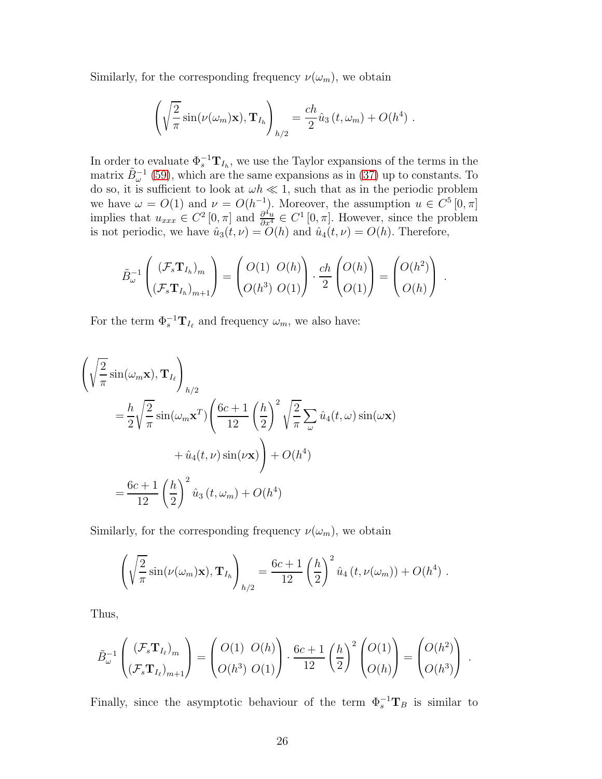Similarly, for the corresponding frequency  $\nu(\omega_m)$ , we obtain

$$
\left(\sqrt{\frac{2}{\pi}}\sin(\nu(\omega_m)\mathbf{x}),\mathbf{T}_{I_h}\right)_{h/2} = \frac{ch}{2}\hat{u}_3(t,\omega_m) + O(h^4) .
$$

In order to evaluate  $\Phi_s^{-1} \mathbf{T}_{I_h}$ , we use the Taylor expansions of the terms in the matrix  $\tilde{B}_{\omega}^{-1}$  [\(59\)](#page-22-0), which are the same expansions as in [\(37\)](#page-11-0) up to constants. To do so, it is sufficient to look at  $\omega h \ll 1$ , such that as in the periodic problem we have  $\omega = O(1)$  and  $\nu = O(h^{-1})$ . Moreover, the assumption  $u \in C^5[0, \pi]$ implies that  $u_{xxx} \in C^2[0, \pi]$  and  $\frac{\partial^4 u}{\partial x^4} \in C^1[0, \pi]$ . However, since the problem is not periodic, we have  $\hat{u}_3(t, \nu) = O(h)$  and  $\hat{u}_4(t, \nu) = O(h)$ . Therefore,

$$
\tilde{B}_{\omega}^{-1}\left(\frac{(\mathcal{F}_s \mathbf{T}_{I_h})_m}{(\mathcal{F}_s \mathbf{T}_{I_h})_{m+1}}\right) = \begin{pmatrix} O(1) & O(h) \\ O(h^3) & O(1) \end{pmatrix} \cdot \frac{ch}{2} \begin{pmatrix} O(h) \\ O(1) \end{pmatrix} = \begin{pmatrix} O(h^2) \\ O(h) \end{pmatrix}.
$$

For the term  $\Phi_s^{-1} \mathbf{T}_{I_\ell}$  and frequency  $\omega_m$ , we also have:

$$
\left(\sqrt{\frac{2}{\pi}}\sin(\omega_m \mathbf{x}), \mathbf{T}_{I_\ell}\right)_{h/2} \n= \frac{h}{2}\sqrt{\frac{2}{\pi}}\sin(\omega_m \mathbf{x}^T)\left(\frac{6c+1}{12}\left(\frac{h}{2}\right)^2\sqrt{\frac{2}{\pi}}\sum_{\omega}\hat{u}_4(t, \omega)\sin(\omega \mathbf{x})\right) \n+ \hat{u}_4(t, \nu)\sin(\nu \mathbf{x})\right) + O(h^4) \n= \frac{6c+1}{12}\left(\frac{h}{2}\right)^2\hat{u}_3(t, \omega_m) + O(h^4)
$$

Similarly, for the corresponding frequency  $\nu(\omega_m)$ , we obtain

$$
\left(\sqrt{\frac{2}{\pi}}\sin(\nu(\omega_m)\mathbf{x}),\mathbf{T}_{I_h}\right)_{h/2} = \frac{6c+1}{12}\left(\frac{h}{2}\right)^2\hat{u}_4(t,\nu(\omega_m)) + O(h^4) .
$$

Thus,

$$
\tilde{B}_{\omega}^{-1}\left(\frac{(\mathcal{F}_{s}\mathbf{T}_{I_{\ell}})_{m}}{(\mathcal{F}_{s}\mathbf{T}_{I_{\ell}})_{m+1}}\right) = \begin{pmatrix} O(1) & O(h) \\ O(h^{3}) & O(1) \end{pmatrix} \cdot \frac{6c+1}{12} \begin{pmatrix} h \\ 2 \end{pmatrix}^{2} \begin{pmatrix} O(1) \\ O(h) \end{pmatrix} = \begin{pmatrix} O(h^{2}) \\ O(h^{3}) \end{pmatrix}.
$$

Finally, since the asymptotic behaviour of the term  $\Phi_s^{-1}$ **T**<sub>B</sub> is similar to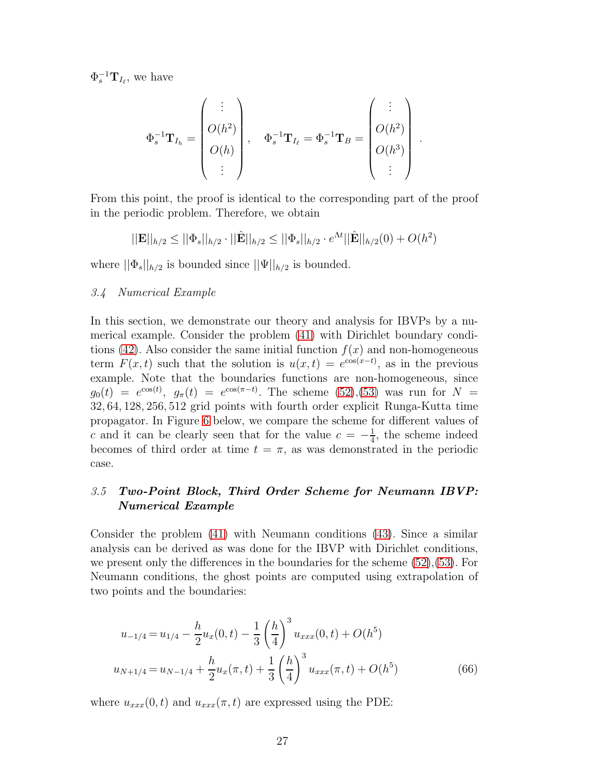$\Phi_s^{-1} \mathbf{T}_{I_{\ell}},$  we have

$$
\Phi_s^{-1}\mathbf{T}_{I_h} = \begin{pmatrix} \vdots \\ O(h^2) \\ O(h) \\ \vdots \end{pmatrix}, \quad \Phi_s^{-1}\mathbf{T}_{I_\ell} = \Phi_s^{-1}\mathbf{T}_B = \begin{pmatrix} \vdots \\ O(h^2) \\ O(h^3) \\ \vdots \end{pmatrix}
$$

.

From this point, the proof is identical to the corresponding part of the proof in the periodic problem. Therefore, we obtain

$$
||\mathbf{E}||_{h/2} \le ||\Phi_s||_{h/2} \cdot ||\hat{\mathbf{E}}||_{h/2} \le ||\Phi_s||_{h/2} \cdot e^{\Lambda t} ||\hat{\mathbf{E}}||_{h/2}(0) + O(h^2)
$$

where  $||\Phi_s||_{h/2}$  is bounded since  $||\Psi||_{h/2}$  is bounded.

## 3.4 Numerical Example

In this section, we demonstrate our theory and analysis for IBVPs by a numerical example. Consider the problem [\(41\)](#page-15-2) with Dirichlet boundary condi-tions [\(42\)](#page-16-3). Also consider the same initial function  $f(x)$  and non-homogeneous term  $F(x,t)$  such that the solution is  $u(x,t) = e^{\cos(x-t)}$ , as in the previous example. Note that the boundaries functions are non-homogeneous, since  $g_0(t) = e^{\cos(t)}, g_{\pi}(t) = e^{\cos(\pi - t)}.$  The scheme [\(52\)](#page-19-1), [\(53\)](#page-20-0) was run for  $N =$ 32, 64, 128, 256, 512 grid points with fourth order explicit Runga-Kutta time propagator. In Figure [6](#page-27-0) below, we compare the scheme for different values of c and it can be clearly seen that for the value  $c = -\frac{1}{4}$  $\frac{1}{4}$ , the scheme indeed becomes of third order at time  $t = \pi$ , as was demonstrated in the periodic case.

# 3.5 Two-Point Block, Third Order Scheme for Neumann IBVP: Numerical Example

Consider the problem [\(41\)](#page-15-2) with Neumann conditions [\(43\)](#page-16-4). Since a similar analysis can be derived as was done for the IBVP with Dirichlet conditions, we present only the differences in the boundaries for the scheme [\(52\)](#page-19-1),[\(53\)](#page-20-0). For Neumann conditions, the ghost points are computed using extrapolation of two points and the boundaries:

$$
u_{-1/4} = u_{1/4} - \frac{h}{2}u_x(0, t) - \frac{1}{3} \left(\frac{h}{4}\right)^3 u_{xxx}(0, t) + O(h^5)
$$
  

$$
u_{N+1/4} = u_{N-1/4} + \frac{h}{2}u_x(\pi, t) + \frac{1}{3} \left(\frac{h}{4}\right)^3 u_{xxx}(\pi, t) + O(h^5)
$$
(66)

where  $u_{xxx}(0, t)$  and  $u_{xxx}(\pi, t)$  are expressed using the PDE: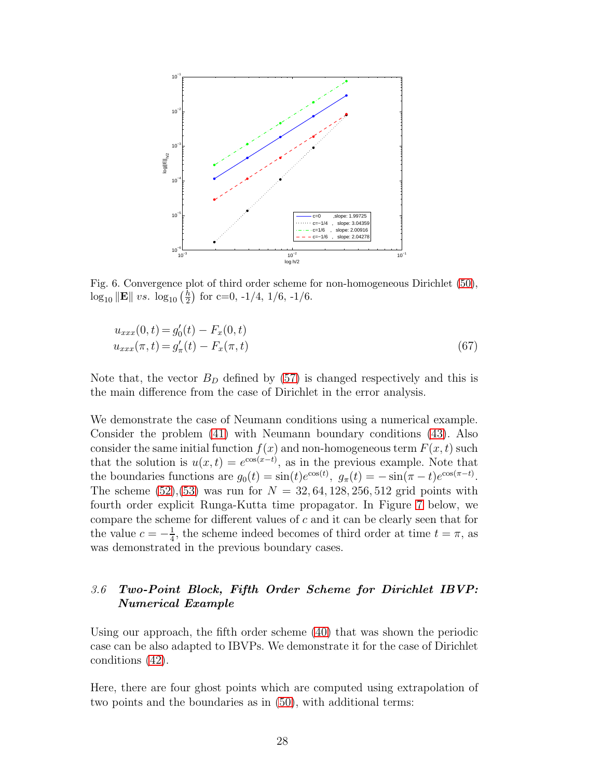<span id="page-27-0"></span>

Fig. 6. Convergence plot of third order scheme for non-homogeneous Dirichlet [\(50\)](#page-19-2),  $\log_{10} \|\mathbf{E}\| \ vs. \ \log_{10} \left(\frac{h}{2}\right)$  $\frac{h}{2}$  for c=0, -1/4, 1/6, -1/6.

<span id="page-27-1"></span>
$$
u_{xxx}(0,t) = g'_0(t) - F_x(0,t)
$$
  
\n
$$
u_{xxx}(\pi, t) = g'_\pi(t) - F_x(\pi, t)
$$
\n(67)

Note that, the vector  $B<sub>D</sub>$  defined by [\(57\)](#page-21-0) is changed respectively and this is the main difference from the case of Dirichlet in the error analysis.

We demonstrate the case of Neumann conditions using a numerical example. Consider the problem [\(41\)](#page-15-2) with Neumann boundary conditions [\(43\)](#page-16-4). Also consider the same initial function  $f(x)$  and non-homogeneous term  $F(x, t)$  such that the solution is  $u(x,t) = e^{\cos(x-t)}$ , as in the previous example. Note that the boundaries functions are  $g_0(t) = \sin(t)e^{\cos(t)}, g_\pi(t) = -\sin(\pi - t)e^{\cos(\pi - t)}.$ The scheme  $(52),(53)$  $(52),(53)$  was run for  $N = 32, 64, 128, 256, 512$  grid points with fourth order explicit Runga-Kutta time propagator. In Figure [7](#page-28-0) below, we compare the scheme for different values of  $c$  and it can be clearly seen that for the value  $c = -\frac{1}{4}$  $\frac{1}{4}$ , the scheme indeed becomes of third order at time  $t = \pi$ , as was demonstrated in the previous boundary cases.

# 3.6 Two-Point Block, Fifth Order Scheme for Dirichlet IBVP: Numerical Example

Using our approach, the fifth order scheme [\(40\)](#page-15-3) that was shown the periodic case can be also adapted to IBVPs. We demonstrate it for the case of Dirichlet conditions [\(42\)](#page-16-3).

Here, there are four ghost points which are computed using extrapolation of two points and the boundaries as in [\(50\)](#page-19-2), with additional terms: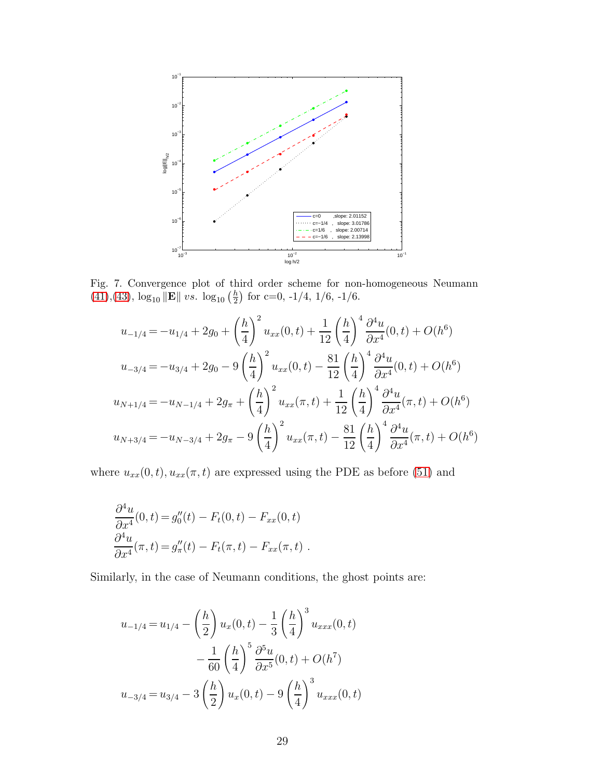<span id="page-28-0"></span>

Fig. 7. Convergence plot of third order scheme for non-homogeneous Neumann  $(41),(43), \log_{10} \|\mathbf{E}\| \ vs. \ \log_{10} \left(\frac{h}{2}\right)$  $(41),(43), \log_{10} \|\mathbf{E}\| \ vs. \ \log_{10} \left(\frac{h}{2}\right)$  $(41),(43), \log_{10} \|\mathbf{E}\| \ vs. \ \log_{10} \left(\frac{h}{2}\right)$  $(41),(43), \log_{10} \|\mathbf{E}\| \ vs. \ \log_{10} \left(\frac{h}{2}\right)$  $\frac{h}{2}$  for c=0, -1/4, 1/6, -1/6.

$$
u_{-1/4} = -u_{1/4} + 2g_0 + \left(\frac{h}{4}\right)^2 u_{xx}(0,t) + \frac{1}{12} \left(\frac{h}{4}\right)^4 \frac{\partial^4 u}{\partial x^4}(0,t) + O(h^6)
$$
  

$$
u_{-3/4} = -u_{3/4} + 2g_0 - 9\left(\frac{h}{4}\right)^2 u_{xx}(0,t) - \frac{81}{12} \left(\frac{h}{4}\right)^4 \frac{\partial^4 u}{\partial x^4}(0,t) + O(h^6)
$$
  

$$
u_{N+1/4} = -u_{N-1/4} + 2g_\pi + \left(\frac{h}{4}\right)^2 u_{xx}(\pi,t) + \frac{1}{12} \left(\frac{h}{4}\right)^4 \frac{\partial^4 u}{\partial x^4}(\pi,t) + O(h^6)
$$
  

$$
u_{N+3/4} = -u_{N-3/4} + 2g_\pi - 9\left(\frac{h}{4}\right)^2 u_{xx}(\pi,t) - \frac{81}{12} \left(\frac{h}{4}\right)^4 \frac{\partial^4 u}{\partial x^4}(\pi,t) + O(h^6)
$$

where  $u_{xx}(0, t)$ ,  $u_{xx}(\pi, t)$  are expressed using the PDE as before [\(51\)](#page-19-3) and

$$
\frac{\partial^4 u}{\partial x^4}(0,t) = g''_0(t) - F_t(0,t) - F_{xx}(0,t)
$$
  

$$
\frac{\partial^4 u}{\partial x^4}(\pi,t) = g''_\pi(t) - F_t(\pi,t) - F_{xx}(\pi,t).
$$

Similarly, in the case of Neumann conditions, the ghost points are:

$$
u_{-1/4} = u_{1/4} - \left(\frac{h}{2}\right)u_x(0,t) - \frac{1}{3}\left(\frac{h}{4}\right)^3 u_{xxx}(0,t) - \frac{1}{60}\left(\frac{h}{4}\right)^5 \frac{\partial^5 u}{\partial x^5}(0,t) + O(h^7) u_{-3/4} = u_{3/4} - 3\left(\frac{h}{2}\right)u_x(0,t) - 9\left(\frac{h}{4}\right)^3 u_{xxx}(0,t)
$$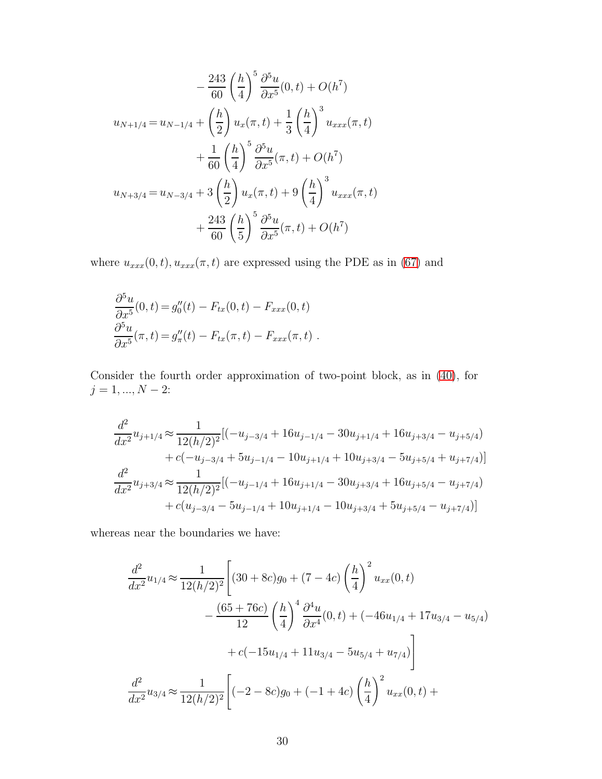$$
-\frac{243}{60} \left(\frac{h}{4}\right)^5 \frac{\partial^5 u}{\partial x^5} (0, t) + O(h^7)
$$
  

$$
u_{N+1/4} = u_{N-1/4} + \left(\frac{h}{2}\right) u_x(\pi, t) + \frac{1}{3} \left(\frac{h}{4}\right)^3 u_{xxx}(\pi, t) + \frac{1}{60} \left(\frac{h}{4}\right)^5 \frac{\partial^5 u}{\partial x^5} (\pi, t) + O(h^7)
$$
  

$$
u_{N+3/4} = u_{N-3/4} + 3 \left(\frac{h}{2}\right) u_x(\pi, t) + 9 \left(\frac{h}{4}\right)^3 u_{xxx}(\pi, t) + \frac{243}{60} \left(\frac{h}{5}\right)^5 \frac{\partial^5 u}{\partial x^5} (\pi, t) + O(h^7)
$$

where  $u_{xxx}(0, t)$ ,  $u_{xxx}(\pi, t)$  are expressed using the PDE as in [\(67\)](#page-27-1) and

$$
\frac{\partial^5 u}{\partial x^5}(0,t) = g''_0(t) - F_{tx}(0,t) - F_{xxx}(0,t)
$$
  

$$
\frac{\partial^5 u}{\partial x^5}(\pi,t) = g''_\pi(t) - F_{tx}(\pi,t) - F_{xxx}(\pi,t).
$$

Consider the fourth order approximation of two-point block, as in [\(40\)](#page-15-3), for  $j=1,...,N-2\mathpunct:$ 

$$
\frac{d^2}{dx^2}u_{j+1/4} \approx \frac{1}{12(h/2)^2} [(-u_{j-3/4} + 16u_{j-1/4} - 30u_{j+1/4} + 16u_{j+3/4} - u_{j+5/4})
$$
  
+  $c(-u_{j-3/4} + 5u_{j-1/4} - 10u_{j+1/4} + 10u_{j+3/4} - 5u_{j+5/4} + u_{j+7/4})]$   

$$
\frac{d^2}{dx^2}u_{j+3/4} \approx \frac{1}{12(h/2)^2} [(-u_{j-1/4} + 16u_{j+1/4} - 30u_{j+3/4} + 16u_{j+5/4} - u_{j+7/4})
$$
  
+  $c(u_{j-3/4} - 5u_{j-1/4} + 10u_{j+1/4} - 10u_{j+3/4} + 5u_{j+5/4} - u_{j+7/4})]$ 

whereas near the boundaries we have:

$$
\frac{d^2}{dx^2}u_{1/4} \approx \frac{1}{12(h/2)^2} \left[ (30+8c)g_0 + (7-4c)\left(\frac{h}{4}\right)^2 u_{xx}(0,t) - \frac{(65+76c)}{12}\left(\frac{h}{4}\right)^4 \frac{\partial^4 u}{\partial x^4}(0,t) + (-46u_{1/4} + 17u_{3/4} - u_{5/4}) + c(-15u_{1/4} + 11u_{3/4} - 5u_{5/4} + u_{7/4}) \right]
$$

$$
\frac{d^2}{dx^2}u_{3/4} \approx \frac{1}{12(h/2)^2} \left[ (-2-8c)g_0 + (-1+4c)\left(\frac{h}{4}\right)^2 u_{xx}(0,t) + \right]
$$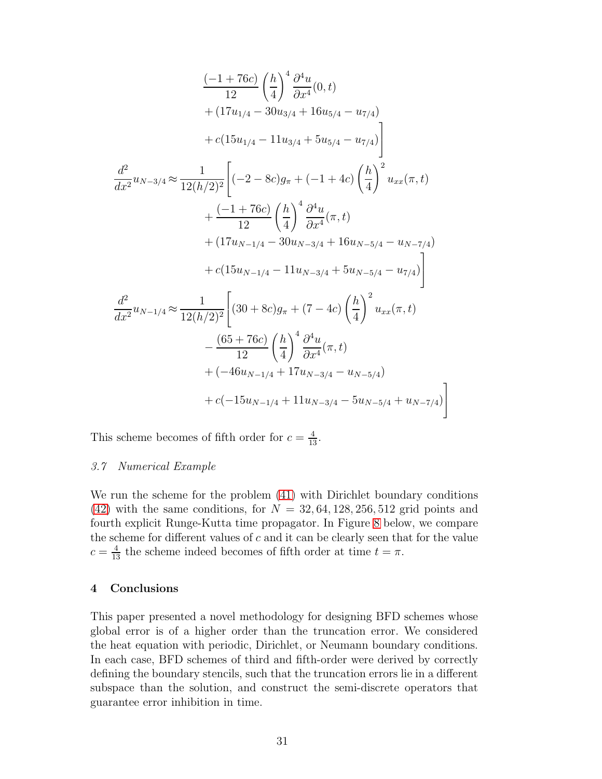$$
\frac{(-1+76c)}{12}\left(\frac{h}{4}\right)^4 \frac{\partial^4 u}{\partial x^4}(0,t) \n+ (17u_{1/4} - 30u_{3/4} + 16u_{5/4} - u_{7/4}) \n+ c(15u_{1/4} - 11u_{3/4} + 5u_{5/4} - u_{7/4})
$$
\n
$$
\frac{d^2}{dx^2}u_{N-3/4} \approx \frac{1}{12(h/2)^2}\left[(-2-8c)g_{\pi} + (-1+4c)\left(\frac{h}{4}\right)^2 u_{xx}(\pi, t) + \frac{(-1+76c)}{12}\left(\frac{h}{4}\right)^4 \frac{\partial^4 u}{\partial x^4}(\pi, t) + (17u_{N-1/4} - 30u_{N-3/4} + 16u_{N-5/4} - u_{N-7/4}) + c(15u_{N-1/4} - 11u_{N-3/4} + 5u_{N-5/4} - u_{7/4})\right]
$$
\n
$$
\frac{d^2}{dx^2}u_{N-1/4} \approx \frac{1}{12(h/2)^2}\left[ (30+8c)g_{\pi} + (7-4c)\left(\frac{h}{4}\right)^2 u_{xx}(\pi, t) - \frac{(65+76c)}{12}\left(\frac{h}{4}\right)^4 \frac{\partial^4 u}{\partial x^4}(\pi, t) + (-46u_{N-1/4} + 17u_{N-3/4} - u_{N-5/4}) + c(-15u_{N-1/4} + 11u_{N-3/4} - 5u_{N-5/4} + u_{N-7/4})\right]
$$

This scheme becomes of fifth order for  $c = \frac{4}{13}$ .

## 3.7 Numerical Example

We run the scheme for the problem [\(41\)](#page-15-2) with Dirichlet boundary conditions  $(42)$  with the same conditions, for  $N = 32,64,128,256,512$  grid points and fourth explicit Runge-Kutta time propagator. In Figure [8](#page-31-3) below, we compare the scheme for different values of  $c$  and it can be clearly seen that for the value  $c = \frac{4}{13}$  the scheme indeed becomes of fifth order at time  $t = \pi$ .

## 4 Conclusions

This paper presented a novel methodology for designing BFD schemes whose global error is of a higher order than the truncation error. We considered the heat equation with periodic, Dirichlet, or Neumann boundary conditions. In each case, BFD schemes of third and fifth-order were derived by correctly defining the boundary stencils, such that the truncation errors lie in a different subspace than the solution, and construct the semi-discrete operators that guarantee error inhibition in time.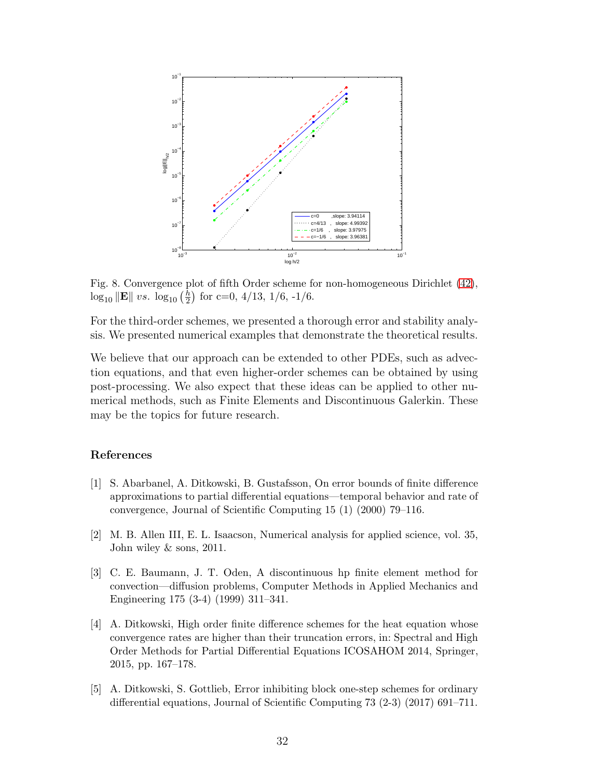<span id="page-31-3"></span>

Fig. 8. Convergence plot of fifth Order scheme for non-homogeneous Dirichlet [\(42\)](#page-16-3),  $\log_{10} \|\mathbf{E}\| \ vs. \ \log_{10} \left(\frac{h}{2}\right)$  $\frac{h}{2}$  for c=0, 4/13, 1/6, -1/6.

For the third-order schemes, we presented a thorough error and stability analysis. We presented numerical examples that demonstrate the theoretical results.

We believe that our approach can be extended to other PDEs, such as advection equations, and that even higher-order schemes can be obtained by using post-processing. We also expect that these ideas can be applied to other numerical methods, such as Finite Elements and Discontinuous Galerkin. These may be the topics for future research.

## <span id="page-31-2"></span>References

- [1] S. Abarbanel, A. Ditkowski, B. Gustafsson, On error bounds of finite difference approximations to partial differential equations—temporal behavior and rate of convergence, Journal of Scientific Computing 15 (1) (2000) 79–116.
- <span id="page-31-0"></span>[2] M. B. Allen III, E. L. Isaacson, Numerical analysis for applied science, vol. 35, John wiley & sons, 2011.
- [3] C. E. Baumann, J. T. Oden, A discontinuous hp finite element method for convection—diffusion problems, Computer Methods in Applied Mechanics and Engineering 175 (3-4) (1999) 311–341.
- <span id="page-31-1"></span>[4] A. Ditkowski, High order finite difference schemes for the heat equation whose convergence rates are higher than their truncation errors, in: Spectral and High Order Methods for Partial Differential Equations ICOSAHOM 2014, Springer, 2015, pp. 167–178.
- [5] A. Ditkowski, S. Gottlieb, Error inhibiting block one-step schemes for ordinary differential equations, Journal of Scientific Computing 73 (2-3) (2017) 691–711.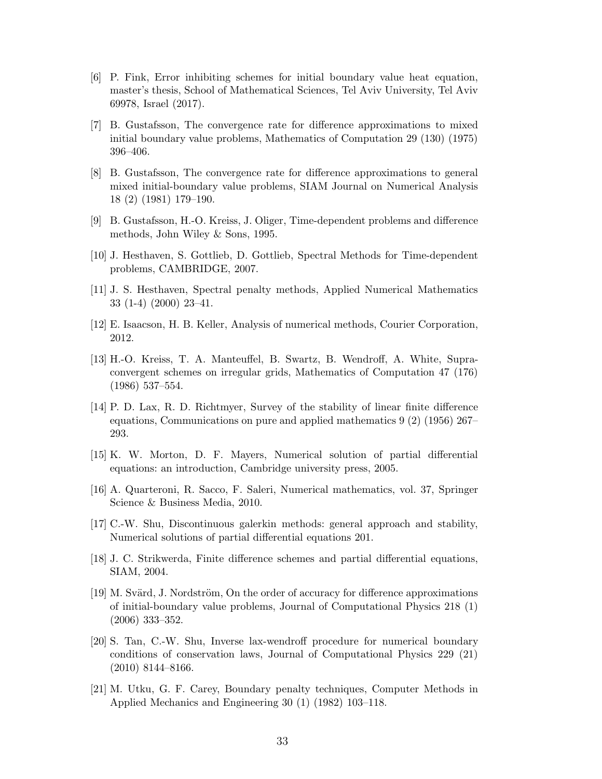- [6] P. Fink, Error inhibiting schemes for initial boundary value heat equation, master's thesis, School of Mathematical Sciences, Tel Aviv University, Tel Aviv 69978, Israel (2017).
- <span id="page-32-11"></span>[7] B. Gustafsson, The convergence rate for difference approximations to mixed initial boundary value problems, Mathematics of Computation 29 (130) (1975) 396–406.
- <span id="page-32-12"></span>[8] B. Gustafsson, The convergence rate for difference approximations to general mixed initial-boundary value problems, SIAM Journal on Numerical Analysis 18 (2) (1981) 179–190.
- <span id="page-32-7"></span><span id="page-32-2"></span>[9] B. Gustafsson, H.-O. Kreiss, J. Oliger, Time-dependent problems and difference methods, John Wiley & Sons, 1995.
- <span id="page-32-8"></span>[10] J. Hesthaven, S. Gottlieb, D. Gottlieb, Spectral Methods for Time-dependent problems, CAMBRIDGE, 2007.
- <span id="page-32-5"></span>[11] J. S. Hesthaven, Spectral penalty methods, Applied Numerical Mathematics 33 (1-4) (2000) 23–41.
- <span id="page-32-6"></span>[12] E. Isaacson, H. B. Keller, Analysis of numerical methods, Courier Corporation, 2012.
- [13] H.-O. Kreiss, T. A. Manteuffel, B. Swartz, B. Wendroff, A. White, Supraconvergent schemes on irregular grids, Mathematics of Computation 47 (176) (1986) 537–554.
- <span id="page-32-0"></span>[14] P. D. Lax, R. D. Richtmyer, Survey of the stability of linear finite difference equations, Communications on pure and applied mathematics 9 (2) (1956) 267– 293.
- <span id="page-32-3"></span><span id="page-32-1"></span>[15] K. W. Morton, D. F. Mayers, Numerical solution of partial differential equations: an introduction, Cambridge university press, 2005.
- [16] A. Quarteroni, R. Sacco, F. Saleri, Numerical mathematics, vol. 37, Springer Science & Business Media, 2010.
- <span id="page-32-4"></span>[17] C.-W. Shu, Discontinuous galerkin methods: general approach and stability, Numerical solutions of partial differential equations 201.
- <span id="page-32-13"></span>[18] J. C. Strikwerda, Finite difference schemes and partial differential equations, SIAM, 2004.
- [19] M. Svärd, J. Nordström, On the order of accuracy for difference approximations of initial-boundary value problems, Journal of Computational Physics 218 (1) (2006) 333–352.
- <span id="page-32-10"></span>[20] S. Tan, C.-W. Shu, Inverse lax-wendroff procedure for numerical boundary conditions of conservation laws, Journal of Computational Physics 229 (21) (2010) 8144–8166.
- <span id="page-32-9"></span>[21] M. Utku, G. F. Carey, Boundary penalty techniques, Computer Methods in Applied Mechanics and Engineering 30 (1) (1982) 103–118.